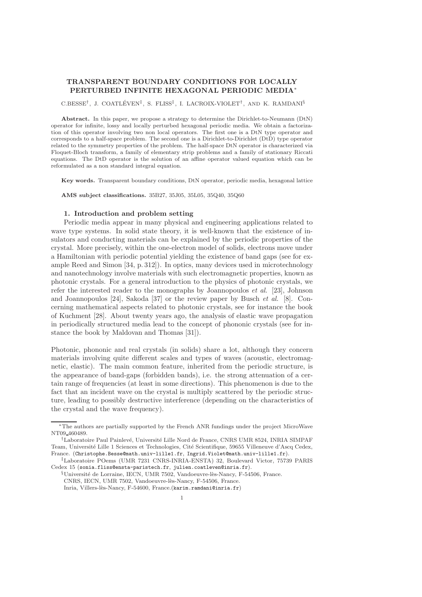# TRANSPARENT BOUNDARY CONDITIONS FOR LOCALLY PERTURBED INFINITE HEXAGONAL PERIODIC MEDIA<sup>∗</sup>

 $\text{C.BESSE}^{\dagger}$ , J. COATLÉVEN<sup>‡</sup>, S. FLISS<sup>‡</sup>, I. LACROIX-VIOLET<sup>†</sup>, AND K. RAMDANI<sup>§</sup>

Abstract. In this paper, we propose a strategy to determine the Dirichlet-to-Neumann (DtN) operator for infinite, lossy and locally perturbed hexagonal periodic media. We obtain a factorization of this operator involving two non local operators. The first one is a DtN type operator and corresponds to a half-space problem. The second one is a Dirichlet-to-Dirichlet (DtD) type operator related to the symmetry properties of the problem. The half-space DtN operator is characterized via Floquet-Bloch transform, a family of elementary strip problems and a family of stationary Riccati equations. The DtD operator is the solution of an affine operator valued equation which can be reformulated as a non standard integral equation.

Key words. Transparent boundary conditions, DtN operator, periodic media, hexagonal lattice

AMS subject classifications. 35B27, 35J05, 35L05, 35Q40, 35Q60

### 1. Introduction and problem setting

Periodic media appear in many physical and engineering applications related to wave type systems. In solid state theory, it is well-known that the existence of insulators and conducting materials can be explained by the periodic properties of the crystal. More precisely, within the one-electron model of solids, electrons move under a Hamiltonian with periodic potential yielding the existence of band gaps (see for example Reed and Simon [34, p. 312]). In optics, many devices used in microtechnology and nanotechnology involve materials with such electromagnetic properties, known as photonic crystals. For a general introduction to the physics of photonic crystals, we refer the interested reader to the monographs by Joannopoulos *et al.* [23], Johnson and Joannopoulos [24], Sakoda [37] or the review paper by Busch *et al.* [8]. Concerning mathematical aspects related to photonic crystals, see for instance the book of Kuchment [28]. About twenty years ago, the analysis of elastic wave propagation in periodically structured media lead to the concept of phononic crystals (see for instance the book by Maldovan and Thomas [31]).

Photonic, phononic and real crystals (in solids) share a lot, although they concern materials involving quite different scales and types of waves (acoustic, electromagnetic, elastic). The main common feature, inherited from the periodic structure, is the appearance of band-gaps (forbidden bands), i.e. the strong attenuation of a certain range of frequencies (at least in some directions). This phenomenon is due to the fact that an incident wave on the crystal is multiply scattered by the periodic structure, leading to possibly destructive interference (depending on the characteristics of the crystal and the wave frequency).

<sup>∗</sup>The authors are partially supported by the French ANR fundings under the project MicroWave NT09 460489.

<sup>&</sup>lt;sup>†</sup>Laboratoire Paul Painlevé, Université Lille Nord de France, CNRS UMR 8524, INRIA SIMPAF Team, Université Lille 1 Sciences et Technologies, Cité Scientifique, 59655 Villeneuve d'Ascq Cedex, France. (Christophe.Besse@math.univ-lille1.fr, Ingrid.Violet@math.univ-lille1.fr).

<sup>‡</sup>Laboratoire POems (UMR 7231 CNRS-INRIA-ENSTA) 32, Boulevard Victor, 75739 PARIS Cedex 15 (sonia.fliss@ensta-paristech.fr, julien.coatleven@inria.fr).

 $\S$ Université de Lorraine, IECN, UMR 7502, Vandoeuvre-lès-Nancy, F-54506, France. CNRS, IECN, UMR 7502, Vandoeuvre-lès-Nancy, F-54506, France. Inria, Villers-lès-Nancy, F-54600, France.(karim.ramdani@inria.fr)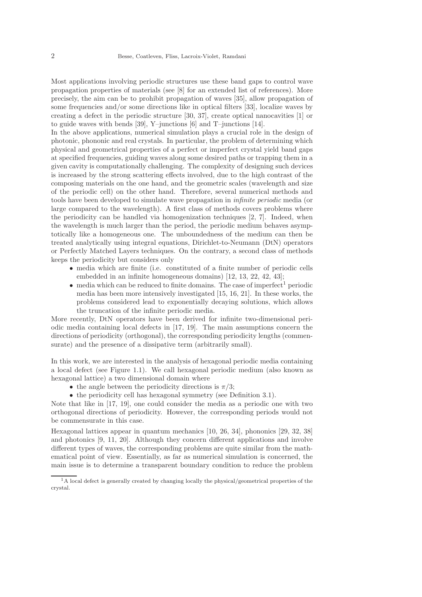Most applications involving periodic structures use these band gaps to control wave propagation properties of materials (see [8] for an extended list of references). More precisely, the aim can be to prohibit propagation of waves [35], allow propagation of some frequencies and/or some directions like in optical filters [33], localize waves by creating a defect in the periodic structure [30, 37], create optical nanocavities [1] or to guide waves with bends [39], Y–junctions [6] and T–junctions [14].

In the above applications, numerical simulation plays a crucial role in the design of photonic, phononic and real crystals. In particular, the problem of determining which physical and geometrical properties of a perfect or imperfect crystal yield band gaps at specified frequencies, guiding waves along some desired paths or trapping them in a given cavity is computationally challenging. The complexity of designing such devices is increased by the strong scattering effects involved, due to the high contrast of the composing materials on the one hand, and the geometric scales (wavelength and size of the periodic cell) on the other hand. Therefore, several numerical methods and tools have been developed to simulate wave propagation in *infinite periodic* media (or large compared to the wavelength). A first class of methods covers problems where the periodicity can be handled via homogenization techniques [2, 7]. Indeed, when the wavelength is much larger than the period, the periodic medium behaves asymptotically like a homogeneous one. The unboundedness of the medium can then be treated analytically using integral equations, Dirichlet-to-Neumann (DtN) operators or Perfectly Matched Layers techniques. On the contrary, a second class of methods keeps the periodicity but considers only

- media which are finite (i.e. constituted of a finite number of periodic cells embedded in an infinite homogeneous domains) [12, 13, 22, 42, 43];
- $\bullet$  media which can be reduced to finite domains. The case of imperfect<sup>1</sup> periodic media has been more intensively investigated [15, 16, 21]. In these works, the problems considered lead to exponentially decaying solutions, which allows the truncation of the infinite periodic media.

More recently, DtN operators have been derived for infinite two-dimensional periodic media containing local defects in [17, 19]. The main assumptions concern the directions of periodicity (orthogonal), the corresponding periodicity lengths (commensurate) and the presence of a dissipative term (arbitrarily small).

In this work, we are interested in the analysis of hexagonal periodic media containing a local defect (see Figure 1.1). We call hexagonal periodic medium (also known as hexagonal lattice) a two dimensional domain where

- the angle between the periodicity directions is  $\pi/3$ ;
- the periodicity cell has hexagonal symmetry (see Definition 3.1).

Note that like in [17, 19], one could consider the media as a periodic one with two orthogonal directions of periodicity. However, the corresponding periods would not be commensurate in this case.

Hexagonal lattices appear in quantum mechanics [10, 26, 34], phononics [29, 32, 38] and photonics [9, 11, 20]. Although they concern different applications and involve different types of waves, the corresponding problems are quite similar from the mathematical point of view. Essentially, as far as numerical simulation is concerned, the main issue is to determine a transparent boundary condition to reduce the problem

<sup>1</sup>A local defect is generally created by changing locally the physical/geometrical properties of the crystal.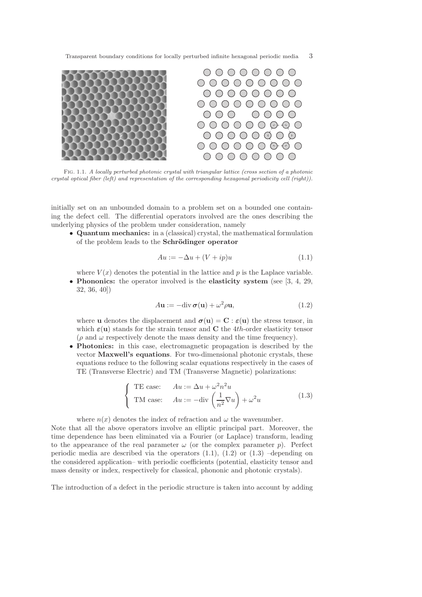

Fig. 1.1. *A locally perturbed photonic crystal with triangular lattice (cross section of a photonic crystal optical fiber (left) and representation of the corresponding hexagonal periodicity cell (right)).*

initially set on an unbounded domain to a problem set on a bounded one containing the defect cell. The differential operators involved are the ones describing the underlying physics of the problem under consideration, namely

• Quantum mechanics: in a (classical) crystal, the mathematical formulation of the problem leads to the Schrödinger operator

$$
Au := -\Delta u + (V + ip)u \tag{1.1}
$$

where  $V(x)$  denotes the potential in the lattice and p is the Laplace variable. • Phononics: the operator involved is the elasticity system (see  $[3, 4, 29, 4, 29]$ ) 32, 36, 40])

$$
Au := -div \boldsymbol{\sigma}(u) + \omega^2 \rho u,
$$
\n(1.2)

where **u** denotes the displacement and  $\boldsymbol{\sigma}(\mathbf{u}) = \mathbf{C} : \boldsymbol{\varepsilon}(\mathbf{u})$  the stress tensor, in which  $\varepsilon(\mathbf{u})$  stands for the strain tensor and **C** the 4th-order elasticity tensor  $(\rho \text{ and } \omega \text{ respectively denote the mass density and the time frequency}).$ 

• Photonics: in this case, electromagnetic propagation is described by the vector Maxwell's equations. For two-dimensional photonic crystals, these equations reduce to the following scalar equations respectively in the cases of TE (Transverse Electric) and TM (Transverse Magnetic) polarizations:

$$
\begin{cases}\n\text{TE case:} & Au := \Delta u + \omega^2 n^2 u \\
\text{TM case:} & Au := -\text{div}\left(\frac{1}{n^2}\nabla u\right) + \omega^2 u\n\end{cases}
$$
\n(1.3)

where  $n(x)$  denotes the index of refraction and  $\omega$  the wavenumber.

Note that all the above operators involve an elliptic principal part. Moreover, the time dependence has been eliminated via a Fourier (or Laplace) transform, leading to the appearance of the real parameter  $\omega$  (or the complex parameter p). Perfect periodic media are described via the operators  $(1.1)$ ,  $(1.2)$  or  $(1.3)$  –depending on the considered application– with periodic coefficients (potential, elasticity tensor and mass density or index, respectively for classical, phononic and photonic crystals).

The introduction of a defect in the periodic structure is taken into account by adding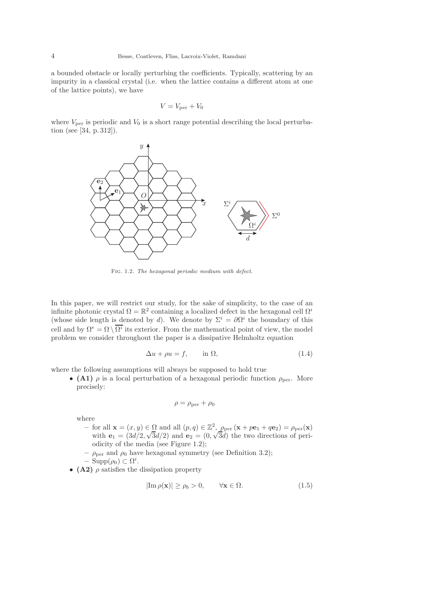a bounded obstacle or locally perturbing the coefficients. Typically, scattering by an impurity in a classical crystal (i.e. when the lattice contains a different atom at one of the lattice points), we have

$$
V = V_{\text{per}} + V_0
$$

where  $V_{\text{per}}$  is periodic and  $V_0$  is a short range potential describing the local perturbation (see [34, p. 312]).



Fig. 1.2. *The hexagonal periodic medium with defect.*

In this paper, we will restrict our study, for the sake of simplicity, to the case of an infinite photonic crystal  $\Omega = \mathbb{R}^2$  containing a localized defect in the hexagonal cell  $\Omega^i$ (whose side length is denoted by d). We denote by  $\Sigma^i = \partial \Omega^i$  the boundary of this cell and by  $\Omega^e = \Omega \setminus \overline{\Omega^i}$  its exterior. From the mathematical point of view, the model problem we consider throughout the paper is a dissipative Helmholtz equation

$$
\Delta u + \rho u = f, \qquad \text{in } \Omega,\tag{1.4}
$$

where the following assumptions will always be supposed to hold true

• (A1)  $\rho$  is a local perturbation of a hexagonal periodic function  $\rho_{\text{per}}$ . More precisely:

$$
\rho=\rho_{\rm per}+\rho_0
$$

where

- for all  $\mathbf{x} = (x, y) \in \Omega$  and all  $(p, q) \in \mathbb{Z}^2$ ,  $\rho_{\text{per}}(\mathbf{x} + p\mathbf{e}_1 + q\mathbf{e}_2) = \rho_{\text{per}}(\mathbf{x})$ with  $\mathbf{e}_1 = (3d/2, \sqrt{3}d/2)$  and  $\mathbf{e}_2 = (0, \sqrt{3}d)$  the two directions of periodicity of the media (see Figure 1.2);
- $\rho_{\text{per}}$  and  $\rho_0$  have hexagonal symmetry (see Definition 3.2);
- $\text{Supp}(\rho_0) \subset \Omega^i.$
- (A2)  $\rho$  satisfies the dissipation property

$$
|\mathrm{Im}\,\rho(\mathbf{x})| \ge \rho_b > 0, \qquad \forall \mathbf{x} \in \Omega. \tag{1.5}
$$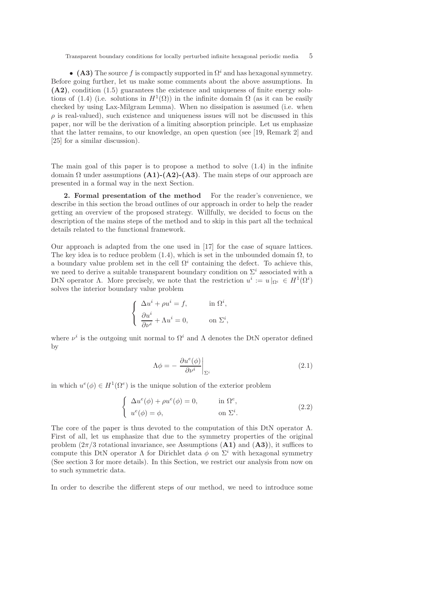• (A3) The source f is compactly supported in  $\Omega^i$  and has hexagonal symmetry. Before going further, let us make some comments about the above assumptions. In (A2), condition (1.5) guarantees the existence and uniqueness of finite energy solutions of (1.4) (i.e. solutions in  $H^1(\Omega)$ ) in the infinite domain  $\Omega$  (as it can be easily checked by using Lax-Milgram Lemma). When no dissipation is assumed (i.e. when  $\rho$  is real-valued), such existence and uniqueness issues will not be discussed in this paper, nor will be the derivation of a limiting absorption principle. Let us emphasize that the latter remains, to our knowledge, an open question (see [19, Remark 2] and [25] for a similar discussion).

The main goal of this paper is to propose a method to solve (1.4) in the infinite domain  $\Omega$  under assumptions  $(A1)$ - $(A2)$ - $(A3)$ . The main steps of our approach are presented in a formal way in the next Section.

2. Formal presentation of the method For the reader's convenience, we describe in this section the broad outlines of our approach in order to help the reader getting an overview of the proposed strategy. Willfully, we decided to focus on the description of the mains steps of the method and to skip in this part all the technical details related to the functional framework.

Our approach is adapted from the one used in [17] for the case of square lattices. The key idea is to reduce problem (1.4), which is set in the unbounded domain  $\Omega$ , to a boundary value problem set in the cell  $\Omega^i$  containing the defect. To achieve this, we need to derive a suitable transparent boundary condition on  $\Sigma^i$  associated with a DtN operator  $\Lambda$ . More precisely, we note that the restriction  $u^i := u|_{\Omega^i} \in H^1(\Omega^i)$ solves the interior boundary value problem

$$
\begin{cases} \Delta u^i + \rho u^i = f, & \text{in } \Omega^i, \\ \frac{\partial u^i}{\partial \nu^i} + \Lambda u^i = 0, & \text{on } \Sigma^i, \end{cases}
$$

where  $\nu^i$  is the outgoing unit normal to  $\Omega^i$  and  $\Lambda$  denotes the DtN operator defined by

$$
\Lambda \phi = -\left. \frac{\partial u^e(\phi)}{\partial \nu^i} \right|_{\Sigma^i} \tag{2.1}
$$

in which  $u^e(\phi) \in H^1(\Omega^e)$  is the unique solution of the exterior problem

$$
\begin{cases}\n\Delta u^{e}(\phi) + \rho u^{e}(\phi) = 0, & \text{in } \Omega^{e}, \\
u^{e}(\phi) = \phi, & \text{on } \Sigma^{i}.\n\end{cases}
$$
\n(2.2)

The core of the paper is thus devoted to the computation of this DtN operator  $\Lambda$ . First of all, let us emphasize that due to the symmetry properties of the original problem  $(2\pi/3$  rotational invariance, see Assumptions  $(A1)$  and  $(A3)$ ), it suffices to compute this DtN operator  $\Lambda$  for Dirichlet data  $\phi$  on  $\Sigma^i$  with hexagonal symmetry (See section 3 for more details). In this Section, we restrict our analysis from now on to such symmetric data.

In order to describe the different steps of our method, we need to introduce some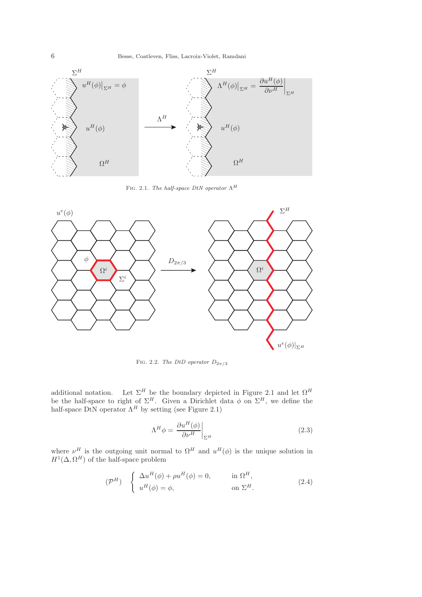

Fig. 2.1. *The half-space DtN operator* Λ<sup>H</sup>



FIG. 2.2. *The DtD operator*  $D_{2\pi/3}$ 

additional notation. Let  $\Sigma^H$  be the boundary depicted in Figure 2.1 and let  $\Omega^H$ be the half-space to right of  $\Sigma^H$ . Given a Dirichlet data  $\phi$  on  $\Sigma^H$ , we define the half-space DtN operator  $\Lambda^H$  by setting (see Figure 2.1)

$$
\Lambda^H \phi = \left. \frac{\partial u^H(\phi)}{\partial \nu^H} \right|_{\Sigma^H}
$$
\n(2.3)

where  $\nu^H$  is the outgoing unit normal to  $\Omega^H$  and  $u^H(\phi)$  is the unique solution in  $H^1(\Delta, \Omega^H)$  of the half-space problem

$$
(\mathcal{P}^{H}) \quad \begin{cases} \Delta u^{H}(\phi) + \rho u^{H}(\phi) = 0, & \text{in } \Omega^{H}, \\ u^{H}(\phi) = \phi, & \text{on } \Sigma^{H}. \end{cases}
$$
 (2.4)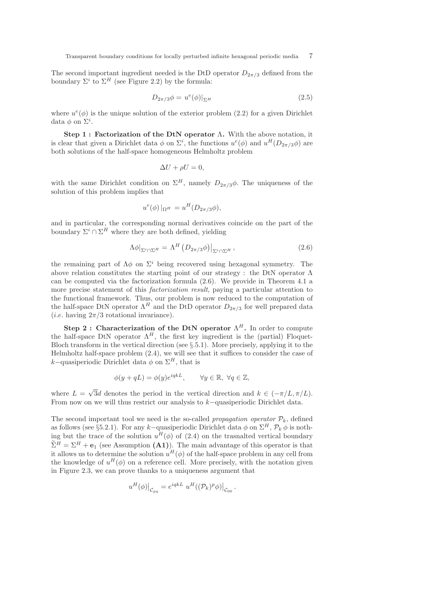The second important ingredient needed is the DtD operator  $D_{2\pi/3}$  defined from the boundary  $\Sigma^i$  to  $\Sigma^H$  (see Figure 2.2) by the formula:

$$
D_{2\pi/3}\phi = u^e(\phi)|_{\Sigma^H}
$$
\n(2.5)

where  $u^e(\phi)$  is the unique solution of the exterior problem (2.2) for a given Dirichlet data  $\phi$  on  $\Sigma^i$ .

Step 1 : Factorization of the DtN operator Λ. With the above notation, it is clear that given a Dirichlet data  $\phi$  on  $\Sigma^i$ , the functions  $u^e(\phi)$  and  $u^H(D_{2\pi/3}\phi)$  are both solutions of the half-space homogeneous Helmholtz problem

$$
\Delta U + \rho U = 0,
$$

with the same Dirichlet condition on  $\Sigma^H$ , namely  $D_{2\pi/3}\phi$ . The uniqueness of the solution of this problem implies that

$$
u^{e}(\phi)|_{\Omega^H} = u^H(D_{2\pi/3}\phi),
$$

and in particular, the corresponding normal derivatives coincide on the part of the boundary  $\Sigma^i \cap \Sigma^H$  where they are both defined, yielding

$$
\Lambda \phi|_{\Sigma^i \cap \Sigma^H} = \Lambda^H \left( D_{2\pi/3} \phi \right)|_{\Sigma^i \cap \Sigma^H},\tag{2.6}
$$

the remaining part of  $\Lambda \phi$  on  $\Sigma^i$  being recovered using hexagonal symmetry. The above relation constitutes the starting point of our strategy : the DtN operator  $\Lambda$ can be computed via the factorization formula (2.6). We provide in Theorem 4.1 a more precise statement of this *factorization result*, paying a particular attention to the functional framework. Thus, our problem is now reduced to the computation of the half-space DtN operator  $\Lambda^H$  and the DtD operator  $D_{2\pi/3}$  for well prepared data (*i.e.* having  $2\pi/3$  rotational invariance).

Step 2: Characterization of the DtN operator  $\Lambda^H$ . In order to compute the half-space DtN operator  $\Lambda^H$ , the first key ingredient is the (partial) Floquet-Bloch transform in the vertical direction (see §.5.1). More precisely, applying it to the Helmholtz half-space problem (2.4), we will see that it suffices to consider the case of k–quasiperiodic Dirichlet data  $\phi$  on  $\Sigma^H$ , that is

$$
\phi(y+qL) = \phi(y)e^{iqkL}, \qquad \forall y \in \mathbb{R}, \ \forall q \in \mathbb{Z},
$$

where  $L = \sqrt{3}d$  denotes the period in the vertical direction and  $k \in (-\pi/L, \pi/L)$ . From now on we will thus restrict our analysis to k−quasiperiodic Dirichlet data.

The second important tool we need is the so-called *propagation operator*  $\mathcal{P}_k$ , defined as follows (see §5.2.1). For any k–quasiperiodic Dirichlet data  $\phi$  on  $\Sigma^H$ ,  $\mathcal{P}_k \phi$  is nothing but the trace of the solution  $u^H(\phi)$  of (2.4) on the trasnalted vertical boundary  $\Sigma^H = \Sigma^H + \mathbf{e}_1$  (see Assumption (A1)). The main advantage of this operator is that it allows us to determine the solution  $u^H(\phi)$  of the half-space problem in any cell from the knowledge of  $u^H(\phi)$  on a reference cell. More precisely, with the notation given in Figure 2.3, we can prove thanks to a uniqueness argument that

$$
u^H(\phi)|_{\mathcal{C}_{pq}} = e^{iqkL} u^H((\mathcal{P}_k)^p \phi)|_{\mathcal{C}_{00}}.
$$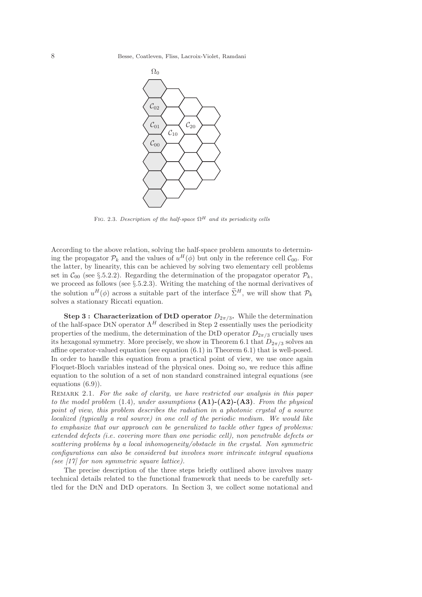

FIG. 2.3. *Description of the half-space*  $\Omega^H$  *and its periodicity cells* 

According to the above relation, solving the half-space problem amounts to determining the propagator  $\mathcal{P}_k$  and the values of  $u^H(\phi)$  but only in the reference cell  $\mathcal{C}_{00}$ . For the latter, by linearity, this can be achieved by solving two elementary cell problems set in  $\mathcal{C}_{00}$  (see §.5.2.2). Regarding the determination of the propagator operator  $\mathcal{P}_k$ , we proceed as follows (see §.5.2.3). Writing the matching of the normal derivatives of the solution  $u^H(\phi)$  across a suitable part of the interface  $\tilde{\Sigma}^H$ , we will show that  $\mathcal{P}_k$ solves a stationary Riccati equation.

Step 3 : Characterization of DtD operator  $D_{2\pi/3}$ . While the determination of the half-space DtN operator  $\Lambda^H$  described in Step 2 essentially uses the periodicity properties of the medium, the determination of the DtD operator  $D_{2\pi/3}$  crucially uses its hexagonal symmetry. More precisely, we show in Theorem 6.1 that  $D_{2\pi/3}$  solves an affine operator-valued equation (see equation (6.1) in Theorem 6.1) that is well-posed. In order to handle this equation from a practical point of view, we use once again Floquet-Bloch variables instead of the physical ones. Doing so, we reduce this affine equation to the solution of a set of non standard constrained integral equations (see equations (6.9)).

Remark 2.1. *For the sake of clarity, we have restricted our analysis in this paper to the model problem* (1.4)*, under assumptions* (A1)-(A2)-(A3)*. From the physical point of view, this problem describes the radiation in a photonic crystal of a source localized (typically a real source) in one cell of the periodic medium. We would like to emphasize that our approach can be generalized to tackle other types of problems: extended defects (*i.e. *covering more than one periodic cell), non penetrable defects or scattering problems by a local inhomogeneity/obstacle in the crystal. Non symmetric configurations can also be considered but involves more intrincate integral equations (see [17] for non symmetric square lattice).*

The precise description of the three steps briefly outlined above involves many technical details related to the functional framework that needs to be carefully settled for the DtN and DtD operators. In Section 3, we collect some notational and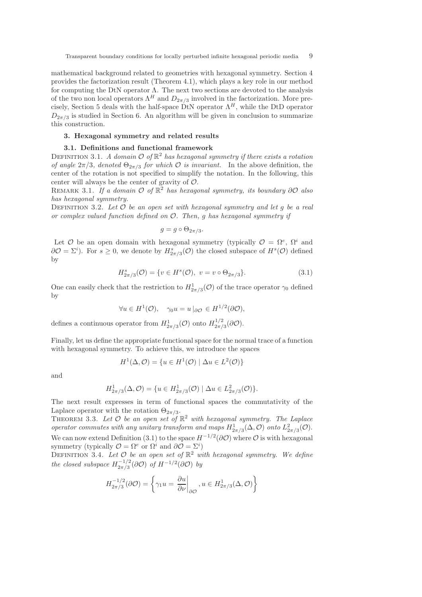mathematical background related to geometries with hexagonal symmetry. Section 4 provides the factorization result (Theorem 4.1), which plays a key role in our method for computing the DtN operator  $\Lambda$ . The next two sections are devoted to the analysis of the two non local operators  $\Lambda^H$  and  $D_{2\pi/3}$  involved in the factorization. More precisely, Section 5 deals with the half-space DtN operator  $\Lambda^H$ , while the DtD operator  $D_{2\pi/3}$  is studied in Section 6. An algorithm will be given in conclusion to summarize this construction.

### 3. Hexagonal symmetry and related results

#### 3.1. Definitions and functional framework

DEFINITION 3.1. *A domain*  $\mathcal{O}$  of  $\mathbb{R}^2$  *has hexagonal symmetry if there exists a rotation of angle*  $2\pi/3$ *, denoted*  $\Theta_{2\pi/3}$  *for which*  $\mathcal O$  *is invariant.* In the above definition, the center of the rotation is not specified to simplify the notation. In the following, this center will always be the center of gravity of  $\mathcal{O}$ .

Remark 3.1. *If a domain* <sup>O</sup> *of* <sup>R</sup> <sup>2</sup> *has hexagonal symmetry, its boundary* <sup>∂</sup><sup>O</sup> *also has hexagonal symmetry.*

Definition 3.2. *Let* O *be an open set with hexagonal symmetry and let* g *be a real or complex valued function defined on* O*. Then,* g *has hexagonal symmetry if*

$$
g = g \circ \Theta_{2\pi/3}.
$$

Let  $\mathcal O$  be an open domain with hexagonal symmetry (typically  $\mathcal O = \Omega^e, \Omega^i$  and  $\partial \mathcal{O} = \Sigma^{i}$ ). For  $s \geq 0$ , we denote by  $H^{s}_{2\pi/3}(\mathcal{O})$  the closed subspace of  $H^{s}(\mathcal{O})$  defined by

$$
H_{2\pi/3}^s(\mathcal{O}) = \{ v \in H^s(\mathcal{O}), \ v = v \circ \Theta_{2\pi/3} \}. \tag{3.1}
$$

One can easily check that the restriction to  $H^1_{2\pi/3}(\mathcal{O})$  of the trace operator  $\gamma_0$  defined by

$$
\forall u \in H^{1}(\mathcal{O}), \quad \gamma_0 u = u \, |_{\partial \mathcal{O}} \in H^{1/2}(\partial \mathcal{O}),
$$

defines a continuous operator from  $H^1_{2\pi/3}(\mathcal{O})$  onto  $H^{1/2}_{2\pi/3}$  $\frac{1}{2\pi/3}$  $(\partial \mathcal{O})$ .

Finally, let us define the appropriate functional space for the normal trace of a function with hexagonal symmetry. To achieve this, we introduce the spaces

$$
H^{1}(\Delta, \mathcal{O}) = \{ u \in H^{1}(\mathcal{O}) \mid \Delta u \in L^{2}(\mathcal{O}) \}
$$

and

$$
H_{2\pi/3}^1(\Delta, \mathcal{O}) = \{ u \in H_{2\pi/3}^1(\mathcal{O}) \mid \Delta u \in L_{2\pi/3}^2(\mathcal{O}) \}.
$$

The next result expresses in term of functional spaces the commutativity of the Laplace operator with the rotation  $\Theta_{2\pi/3}$ .

THEOREM 3.3. Let  $\mathcal O$  be an open set of  $\mathbb R^2$  with hexagonal symmetry. The Laplace *operator commutes with any unitary transform and maps*  $H^1_{2\pi/3}(\Delta, \mathcal{O})$  *onto*  $L^2_{2\pi/3}(\mathcal{O})$ . We can now extend Definition (3.1) to the space  $H^{-1/2}(\partial \mathcal{O})$  where  $\mathcal O$  is with hexagonal symmetry (typically  $\mathcal{O} = \Omega^e$  or  $\Omega^i$  and  $\partial \mathcal{O} = \Sigma^i$ )

DEFINITION 3.4. Let  $\mathcal{O}$  be an open set of  $\mathbb{R}^2$  with hexagonal symmetry. We define *the closed subspace*  $H_{2\pi/3}^{-1/2}$  $\frac{(-1/2)}{2\pi/3}(\partial \mathcal{O})$  of  $H^{-1/2}(\partial \mathcal{O})$  by

$$
H_{2\pi/3}^{-1/2}(\partial \mathcal{O}) = \left\{ \gamma_1 u = \left. \frac{\partial u}{\partial \nu} \right|_{\partial \mathcal{O}}, u \in H_{2\pi/3}^1(\Delta, \mathcal{O}) \right\}
$$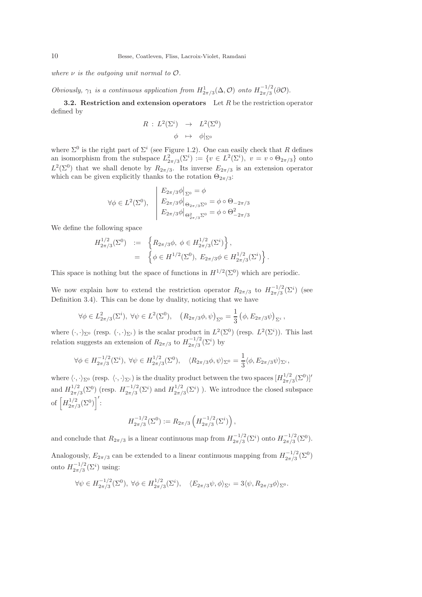*where* ν *is the outgoing unit normal to* O*.*

*Obviously,*  $\gamma_1$  *is a continuous application from*  $H^1_{2\pi/3}(\Delta, \mathcal{O})$  *onto*  $H^{-1/2}_{2\pi/3}$  $\frac{(-1/2)}{2\pi/3}(\partial \mathcal{O}).$ 

**3.2.** Restriction and extension operators Let R be the restriction operator defined by

$$
R: L^{2}(\Sigma^{i}) \rightarrow L^{2}(\Sigma^{0})
$$

$$
\phi \mapsto \phi|_{\Sigma^{0}}
$$

where  $\Sigma^0$  is the right part of  $\Sigma^i$  (see Figure 1.2). One can easily check that R defines an isomorphism from the subspace  $L^2_{2\pi/3}(\Sigma^i) := \{v \in L^2(\Sigma^i), v = v \circ \Theta_{2\pi/3}\}\)$  onto  $L^2(\Sigma^0)$  that we shall denote by  $R_{2\pi/3}$ . Its inverse  $E_{2\pi/3}$  is an extension operator which can be given explicitly thanks to the rotation  $\Theta_{2\pi/3}$ :

$$
\forall \phi \in L^{2}(\Sigma^{0}), \quad \begin{aligned} E_{2\pi/3}\phi|_{\Sigma^{0}} &= \phi \\ E_{2\pi/3}\phi|_{\Theta_{2\pi/3}\Sigma^{0}} &= \phi \circ \Theta_{-2\pi/3} \\ E_{2\pi/3}\phi|_{\Theta_{2\pi/3}^{2}\Sigma^{0}} &= \phi \circ \Theta_{-2\pi/3}^{2} \end{aligned}
$$

We define the following space

$$
H_{2\pi/3}^{1/2}(\Sigma^0) := \left\{ R_{2\pi/3}\phi, \ \phi \in H_{2\pi/3}^{1/2}(\Sigma^i) \right\},
$$
  
=  $\left\{ \phi \in H^{1/2}(\Sigma^0), E_{2\pi/3}\phi \in H_{2\pi/3}^{1/2}(\Sigma^i) \right\}.$ 

This space is nothing but the space of functions in  $H^{1/2}(\Sigma^0)$  which are periodic.

We now explain how to extend the restriction operator  $R_{2\pi/3}$  to  $H_{2\pi/3}^{-1/2}$  $\frac{(-1)^2}{2\pi/3}$ (Σ<sup>*i*</sup>) (see Definition 3.4). This can be done by duality, noticing that we have

$$
\forall \phi \in L_{2\pi/3}^2(\Sigma^i), \ \forall \psi \in L^2(\Sigma^0), \quad (R_{2\pi/3}\phi, \psi)_{\Sigma^0} = \frac{1}{3} (\phi, E_{2\pi/3}\psi)_{\Sigma^i},
$$

where  $(\cdot, \cdot)_{\Sigma^0}$  (resp.  $(\cdot, \cdot)_{\Sigma^i}$ ) is the scalar product in  $L^2(\Sigma^0)$  (resp.  $L^2(\Sigma^i)$ ). This last relation suggests an extension of  $R_{2\pi/3}$  to  $H_{2\pi/3}^{-1/2}$  $\frac{(-1/2)}{2\pi/3}(\Sigma^i)$  by

$$
\forall \phi \in H_{2\pi/3}^{-1/2}(\Sigma^i), \ \forall \psi \in H_{2\pi/3}^{1/2}(\Sigma^0), \quad \langle R_{2\pi/3}\phi, \psi \rangle_{\Sigma^0} = \frac{1}{3} \langle \phi, E_{2\pi/3}\psi \rangle_{\Sigma^i},
$$

where  $\langle \cdot, \cdot \rangle_{\Sigma^0}$  (resp.  $\langle \cdot, \cdot \rangle_{\Sigma^i}$ ) is the duality product between the two spaces  $[H]_{2\pi/2}^{1/2}$  $\frac{^{1/2}}{^{2\pi/3}}(\Sigma^{0})]'$ and  $H_{2\pi/}^{1/2}$  $\frac{1}{2\pi/3}(\Sigma^0)$  (resp.  $H_{2\pi/3}^{-1/2}$  $\frac{(-1/2)}{2\pi/3}(\Sigma^i)$  and  $H_{2\pi/3}^{1/2}$  $\frac{1}{2\pi/3}(\Sigma^i)$ ). We introduce the closed subspace of  $\left[H_{2\pi/}^{1/2}\right]$  $\frac{1}{2\pi/3}^{(2)}(\Sigma^0)\bigg]'$ :

$$
H_{2\pi/3}^{-1/2}(\Sigma^0) := R_{2\pi/3} \left( H_{2\pi/3}^{-1/2}(\Sigma^i) \right),
$$

and conclude that  $R_{2\pi/3}$  is a linear continuous map from  $H_{2\pi/3}^{-1/2}$  $\frac{(-1/2)}{2\pi/3}(\Sigma^i)$  onto  $H^{-1/2}_{2\pi/3}$  $\frac{(-1/2)}{2\pi/3}(\Sigma^0).$ 

Analogously,  $E_{2\pi/3}$  can be extended to a linear continuous mapping from  $H_{2\pi/3}^{-1/2}$  $\frac{(-1/2)}{2\pi/3}(\Sigma^0)$ onto  $H_{2\pi/3}^{-1/2}$  $\frac{(-1)^2}{2\pi/3}(\Sigma^i)$  using:

$$
\forall \psi \in H_{2\pi/3}^{-1/2}(\Sigma^0), \ \forall \phi \in H_{2\pi/3}^{1/2}(\Sigma^i), \quad \langle E_{2\pi/3}\psi, \phi \rangle_{\Sigma^i} = 3 \langle \psi, R_{2\pi/3}\phi \rangle_{\Sigma^0}.
$$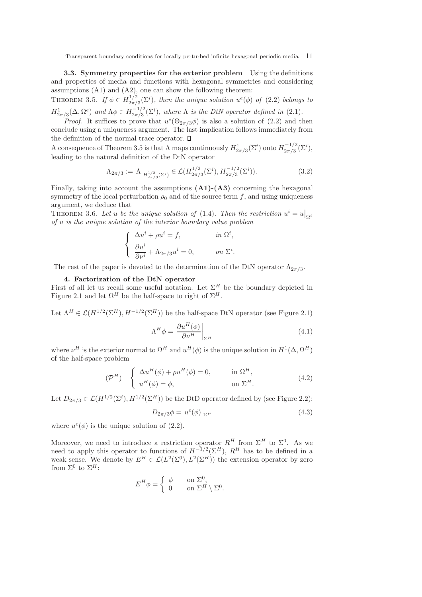3.3. Symmetry properties for the exterior problem Using the definitions and properties of media and functions with hexagonal symmetries and considering assumptions (A1) and (A2), one can show the following theorem:

THEOREM 3.5. *If*  $\phi \in H_{2\pi/2}^{1/2}$  $\frac{1}{2\pi/3}(\Sigma^i)$ , then the unique solution  $u^e(\phi)$  of (2.2) belongs to  $H^1_{2\pi/3}(\Delta, \Omega^e)$  and  $\Lambda \phi \in H^{-1/2}_{2\pi/3}$  $\frac{(-1)^2}{2\pi/3}(\Sigma^i)$ , where  $\Lambda$  *is the DtN operator defined in* (2.1).

*Proof.* It suffices to prove that  $u^e(\Theta_{2\pi/3}\phi)$  is also a solution of (2.2) and then conclude using a uniqueness argument. The last implication follows immediately from the definition of the normal trace operator.  $\square$ 

A consequence of Theorem 3.5 is that  $\Lambda$  maps continuously  $H^1_{2\pi/3}(\Sigma^i)$  onto  $H^{-1/2}_{2\pi/3}$  $\frac{(-1/2)}{2\pi/3}(\Sigma^i),$ leading to the natural definition of the DtN operator

$$
\Lambda_{2\pi/3} := \Lambda|_{H_{2\pi/3}^{1/2}(\Sigma^i)} \in \mathcal{L}(H_{2\pi/3}^{1/2}(\Sigma^i), H_{2\pi/3}^{-1/2}(\Sigma^i)).
$$
\n(3.2)

Finally, taking into account the assumptions  $(A1)$ - $(A3)$  concerning the hexagonal symmetry of the local perturbation  $\rho_0$  and of the source term f, and using uniqueness argument, we deduce that

THEOREM 3.6. Let u be the unique solution of (1.4). Then the restriction  $u^i = u|_{\Omega^i}$ *of* u *is the unique solution of the interior boundary value problem*

$$
\left\{\begin{array}{ll}\Delta u^i+\rho u^i=f,\quad&\quad\hbox{ in $\Omega^i$},\\[2mm] \displaystyle{\frac{\partial u^i}{\partial \nu^i}}+\Lambda_{2\pi/3}u^i=0,\quad&\quad\hbox{ on $\Sigma^i$}. \end{array}\right.
$$

The rest of the paper is devoted to the determination of the DtN operator  $\Lambda_{2\pi/3}$ .

## 4. Factorization of the DtN operator

First of all let us recall some useful notation. Let  $\Sigma^H$  be the boundary depicted in Figure 2.1 and let  $\Omega^H$  be the half-space to right of  $\Sigma^H$ .

Let  $\Lambda^H \in \mathcal{L}(H^{1/2}(\Sigma^H), H^{-1/2}(\Sigma^H))$  be the half-space DtN operator (see Figure 2.1)

$$
\Lambda^H \phi = \left. \frac{\partial u^H(\phi)}{\partial \nu^H} \right|_{\Sigma^H}
$$
\n(4.1)

where  $\nu^H$  is the exterior normal to  $\Omega^H$  and  $u^H(\phi)$  is the unique solution in  $H^1(\Delta, \Omega^H)$ of the half-space problem

$$
(\mathcal{P}^H) \quad \begin{cases} \Delta u^H(\phi) + \rho u^H(\phi) = 0, & \text{in } \Omega^H, \\ u^H(\phi) = \phi, & \text{on } \Sigma^H. \end{cases}
$$
 (4.2)

Let  $D_{2\pi/3} \in \mathcal{L}(H^{1/2}(\Sigma^i), H^{1/2}(\Sigma^H))$  be the DtD operator defined by (see Figure 2.2):

$$
D_{2\pi/3}\phi = u^e(\phi)|_{\Sigma^H} \tag{4.3}
$$

where  $u^e(\phi)$  is the unique solution of  $(2.2)$ .

Moreover, we need to introduce a restriction operator  $R^H$  from  $\Sigma^H$  to  $\Sigma^0$ . As we need to apply this operator to functions of  $H^{-1/2}(\Sigma^H)$ ,  $R^H$  has to be defined in a weak sense. We denote by  $E^H \in \mathcal{L}(L^2(\Sigma^0), L^2(\Sigma^H))$  the extension operator by zero from  $\Sigma^0$  to  $\Sigma^H$ :

$$
E^H \phi = \begin{cases} \phi & \text{on } \Sigma^0, \\ 0 & \text{on } \Sigma^H \setminus \Sigma^0. \end{cases}
$$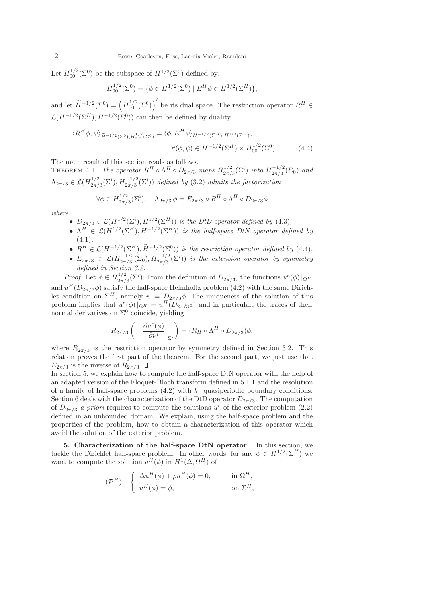Let  $H_{00}^{1/2}(\Sigma^0)$  be the subspace of  $H^{1/2}(\Sigma^0)$  defined by:

$$
H_{00}^{1/2}(\Sigma^0) = \{ \phi \in H^{1/2}(\Sigma^0) \mid E^H \phi \in H^{1/2}(\Sigma^H) \},
$$

and let  $\widetilde{H}^{-1/2}(\Sigma^0) = \left(H_{00}^{1/2}(\Sigma^0)\right)'$  be its dual space. The restriction operator  $R^H \in$  $\mathcal{L}(H^{-1/2}(\Sigma^H), \widetilde{H}^{-1/2}(\Sigma^0))$  can then be defined by duality

$$
\langle R^{H}\phi,\psi\rangle_{\widetilde{H}^{-1/2}(\Sigma^{0}),H_{0,0}^{1/2}(\Sigma^{0})} = \langle \phi, E^{H}\psi \rangle_{H^{-1/2}(\Sigma^{H}),H^{1/2}(\Sigma^{H})},
$$
  

$$
\forall (\phi,\psi) \in H^{-1/2}(\Sigma^{H}) \times H_{00}^{1/2}(\Sigma^{0}).
$$
 (4.4)

The main result of this section reads as follows.

THEOREM 4.1. *The operator*  $R^H \circ \Lambda^H \circ D_{2\pi/3}$  *maps*  $H_{2\pi/3}^{1/2}$  $\frac{1}{2\pi/3}(\Sigma^i)$  *into*  $H_{2\pi/3}^{-1/2}$  $\frac{(-1)^2}{2\pi/3}(\Sigma_0)$  and  $\Lambda_{2\pi/3}\in {\cal L}(H_{2\pi/}^{1/2}$  $\frac{1}{2\pi/3}(\Sigma^i), H_{2\pi/3}^{-1/2}(\Sigma^i)$  defined by (3.2) admits the factorization

$$
\forall \phi \in H_{2\pi/3}^{1/2}(\Sigma^i), \quad \Lambda_{2\pi/3} \phi = E_{2\pi/3} \circ R^H \circ \Lambda^H \circ D_{2\pi/3} \phi
$$

*where*

- $D_{2\pi/3} \in \mathcal{L}(H^{1/2}(\Sigma^i), H^{1/2}(\Sigma^H))$  *is the DtD operator defined by* (4.3),
- $\bullet \ \Lambda^H \in \mathcal{L}(H^{1/2}(\Sigma^H), H^{-1/2}(\Sigma^H))$  *is the half-space DtN operator defined by* (4.1)*,*
- $R^H \in \mathcal{L}(H^{-1/2}(\Sigma^H), \widetilde{H}^{-1/2}(\Sigma^0))$  *is the restriction operator defined by* (4.4)*,*
- $E_{2\pi/3} \in \mathcal{L}(H^{-1/2}_{2\pi/3})$  $\frac{(-1)^2}{2\pi/3}(\Sigma_0), H^{-1/2}_{2\pi/3}(\Sigma^i)$  *is the extension operator by symmetry defined in Section 3.2.*

*Proof.* Let  $\phi \in H_{2\pi/2}^{1/2}$  $\frac{1}{2\pi/3}(\Sigma^i)$ . From the definition of  $D_{2\pi/3}$ , the functions  $u^e(\phi)|_{\Omega^H}$ and  $u^H(D_{2\pi/3}\phi)$  satisfy the half-space Helmholtz problem (4.2) with the same Dirichlet condition on  $\Sigma^H$ , namely  $\psi = D_{2\pi/3}\phi$ . The uniqueness of the solution of this problem implies that  $u^e(\phi)|_{\Omega^H} = u^H(D_{2\pi/3}\phi)$  and in particular, the traces of their normal derivatives on  $\Sigma^0$  coincide, yielding

$$
R_{2\pi/3}\left(-\left.\frac{\partial u^e(\phi)}{\partial \nu^i}\right|_{\Sigma^i}\right) = (R_H \circ \Lambda^H \circ D_{2\pi/3})\phi.
$$

where  $R_{2\pi/3}$  is the restriction operator by symmetry defined in Section 3.2. This relation proves the first part of the theorem. For the second part, we just use that  $E_{2\pi/3}$  is the inverse of  $R_{2\pi/3}$ .  $\Box$ 

In section 5, we explain how to compute the half-space DtN operator with the help of an adapted version of the Floquet-Bloch transform defined in 5.1.1 and the resolution of a family of half-space problems (4.2) with k−quasiperiodic boundary conditions. Section 6 deals with the characterization of the DtD operator  $D_{2\pi/3}$ . The computation of  $D_{2\pi/3}$  *a priori* requires to compute the solutions  $u^e$  of the exterior problem (2.2) defined in an unbounded domain. We explain, using the half-space problem and the properties of the problem, how to obtain a characterization of this operator which avoid the solution of the exterior problem.

5. Characterization of the half-space DtN operator In this section, we tackle the Dirichlet half-space problem. In other words, for any  $\phi \in H^{1/2}(\Sigma^H)$  we want to compute the solution  $u^H(\phi)$  in  $H^1(\Delta, \Omega^H)$  of

$$
(\mathcal{P}^H) \quad \begin{cases} \Delta u^H(\phi) + \rho u^H(\phi) = 0, & \text{in } \Omega^H, \\ u^H(\phi) = \phi, & \text{on } \Sigma^H, \end{cases}
$$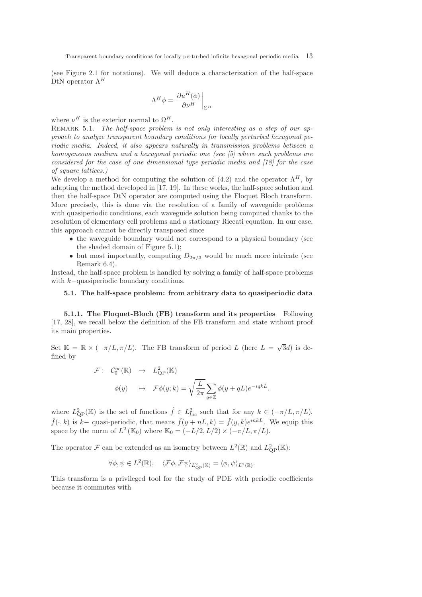(see Figure 2.1 for notations). We will deduce a characterization of the half-space DtN operator  $\Lambda^H$ 

$$
\Lambda^H \phi = \left. \frac{\partial u^H(\phi)}{\partial \nu^H} \right|_{\Sigma^H}
$$

where  $\nu^H$  is the exterior normal to  $\Omega^H$ .

REMARK 5.1. *The half-space problem is not only interesting as a step of our approach to analyze transparent boundary conditions for locally perturbed hexagonal periodic media. Indeed, it also appears naturally in transmission problems between a homogeneous medium and a hexagonal periodic one (see [5] where such problems are considered for the case of one dimensional type periodic media and [18] for the case of square lattices.)*

We develop a method for computing the solution of (4.2) and the operator  $\Lambda^H$ , by adapting the method developed in [17, 19]. In these works, the half-space solution and then the half-space DtN operator are computed using the Floquet Bloch transform. More precisely, this is done via the resolution of a family of waveguide problems with quasiperiodic conditions, each waveguide solution being computed thanks to the resolution of elementary cell problems and a stationary Riccati equation. In our case, this approach cannot be directly transposed since

- the waveguide boundary would not correspond to a physical boundary (see the shaded domain of Figure 5.1);
- but most importantly, computing  $D_{2\pi/3}$  would be much more intricate (see Remark 6.4).

Instead, the half-space problem is handled by solving a family of half-space problems with k−quasiperiodic boundary conditions.

## 5.1. The half-space problem: from arbitrary data to quasiperiodic data

5.1.1. The Floquet-Bloch (FB) transform and its properties Following [17, 28], we recall below the definition of the FB transform and state without proof its main properties.

Set  $\mathbb{K} = \mathbb{R} \times (-\pi/L, \pi/L)$ . The FB transform of period L (here  $L = \sqrt{3}d$ ) is defined by

$$
\mathcal{F}: \quad \mathcal{C}_0^{\infty}(\mathbb{R}) \quad \to \quad L_{\rm QP}^2(\mathbb{K})
$$

$$
\phi(y) \quad \mapsto \quad \mathcal{F}\phi(y;k) = \sqrt{\frac{L}{2\pi}} \sum_{q \in \mathbb{Z}} \phi(y+qL)e^{-iqkL}.
$$

where  $L^2_{\text{QP}}(\mathbb{K})$  is the set of functions  $\hat{f} \in L^2_{loc}$  such that for any  $k \in (-\pi/L, \pi/L)$ ,  $\hat{f}(\cdot, k)$  is k– quasi-periodic, that means  $\hat{f}(y + nL, k) = \hat{f}(y, k)e^{inkL}$ . We equip this space by the norm of  $L^2(\mathbb{K}_0)$  where  $\mathbb{K}_0 = (-L/2, L/2) \times (-\pi/L, \pi/L)$ .

The operator  $\mathcal F$  can be extended as an isometry between  $L^2(\mathbb{R})$  and  $L^2_{\text{QP}}(\mathbb{K})$ :

$$
\forall \phi, \psi \in L^2(\mathbb{R}), \quad \langle \mathcal{F}\phi, \mathcal{F}\psi \rangle_{L^2_{\text{QP}}(\mathbb{K})} = \langle \phi, \psi \rangle_{L^2(\mathbb{R})}.
$$

This transform is a privileged tool for the study of PDE with periodic coefficients because it commutes with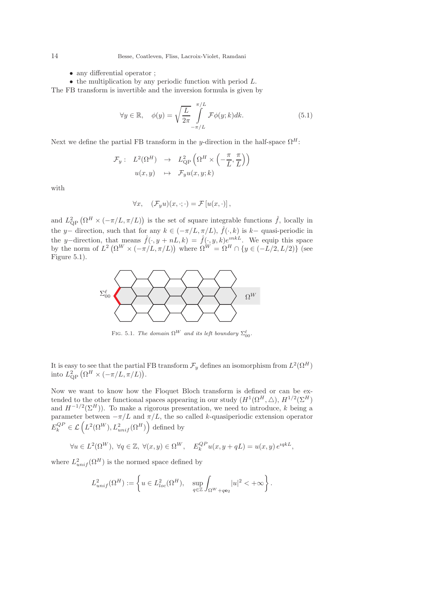- any differential operator ;
- $\bullet$  the multiplication by any periodic function with period  $L$ .

The FB transform is invertible and the inversion formula is given by

$$
\forall y \in \mathbb{R}, \quad \phi(y) = \sqrt{\frac{L}{2\pi}} \int_{-\pi/L}^{\pi/L} \mathcal{F}\phi(y;k)dk.
$$
 (5.1)

Next we define the partial FB transform in the y-direction in the half-space  $\Omega^H$ :

$$
\mathcal{F}_y: L^2(\Omega^H) \rightarrow L^2_{\text{QP}}\left(\Omega^H \times \left(-\frac{\pi}{L}, \frac{\pi}{L}\right)\right)
$$

$$
u(x, y) \mapsto \mathcal{F}_y u(x, y; k)
$$

with

$$
\forall x, \quad (\mathcal{F}_y u)(x, \cdot; \cdot) = \mathcal{F}[u(x, \cdot)],
$$

and  $L^2_{\text{QP}}(\Omega^H \times (-\pi/L, \pi/L))$  is the set of square integrable functions  $\hat{f}$ , locally in the y– direction, such that for any  $k \in (-\pi/L, \pi/L)$ ,  $\hat{f}(\cdot, k)$  is  $k-$  quasi-periodic in the y–direction, that means  $\hat{f}(\cdot, y + nL, k) = \hat{f}(\cdot, y, k)e^{inkL}$ . We equip this space by the norm of  $L^2\left(\Omega^W \times \left(-\pi/L, \pi/L\right)\right)$  where  $\Omega^W = \Omega^H \cap \{y \in \left(-L/2, L/2\right)\}\$  (see Figure 5.1).



FIG. 5.1. *The domain*  $\Omega^W$  *and its left boundary*  $\Sigma_{00}^{\ell}$ .

It is easy to see that the partial FB transform  $\mathcal{F}_y$  defines an isomorphism from  $L^2(\Omega^H)$ into  $L^2_{\text{QP}}\left(\Omega^H \times \left(-\pi/L, \pi/L\right)\right)$ .

Now we want to know how the Floquet Bloch transform is defined or can be extended to the other functional spaces appearing in our study  $(H^1(\Omega^H, \triangle), H^{1/2}(\Sigma^H))$ and  $H^{-1/2}(\Sigma^H)$ ). To make a rigorous presentation, we need to introduce, k being a parameter between  $-\pi/L$  and  $\pi/L$ , the so called k-quasiperiodic extension operator  $E_k^{QP} \in \mathcal{L}\left(L^2(\Omega^W), L^2_{unif}(\Omega^H)\right)$  defined by

$$
\forall u \in L^{2}(\Omega^{W}), \ \forall q \in \mathbb{Z}, \ \forall (x, y) \in \Omega^{W}, \quad E_{k}^{QP}u(x, y + qL) = u(x, y) e^{iqkL},
$$

where  $L_{unif}^2(\Omega^H)$  is the normed space defined by

$$
L^2_{unif}(\Omega^H):=\left\{u\in L^2_{loc}(\Omega^H),\quad \sup_{q\in\mathbb{Z}}\int_{\Omega^W+q\mathbf{e}_2}|u|^2<+\infty\right\}.
$$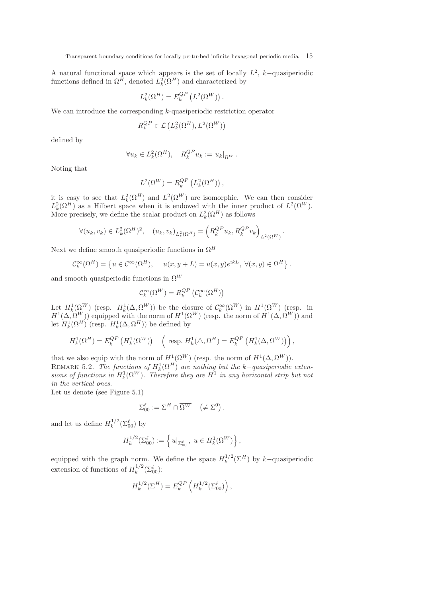A natural functional space which appears is the set of locally  $L^2$ , k–quasiperiodic functions defined in  $\Omega^H$ , denoted  $L_k^2(\Omega^H)$  and characterized by

$$
L^2_k(\Omega^H)=E_k^{QP}\left(L^2(\Omega^W)\right).
$$

We can introduce the corresponding  $k$ -quasiperiodic restriction operator

$$
R_k^{QP}\in \mathcal{L}\left(L^2_k(\Omega^H),L^2(\Omega^W)\right)
$$

defined by

$$
\forall u_k \in L_k^2(\Omega^H), \quad R_k^{QP} u_k := u_k|_{\Omega^W}.
$$

Noting that

$$
L^{2}(\Omega^{W}) = R_{k}^{QP} (L_{k}^{2}(\Omega^{H})) ,
$$

it is easy to see that  $L_k^2(\Omega^H)$  and  $L^2(\Omega^W)$  are isomorphic. We can then consider  $L_k^2(\Omega^H)$  as a Hilbert space when it is endowed with the inner product of  $L^2(\Omega^W)$ . More precisely, we define the scalar product on  $L_k^2(\Omega^H)$  as follows

$$
\forall (u_k, v_k) \in L_k^2(\Omega^H)^2, \quad (u_k, v_k)_{L_k^2(\Omega^H)} = \left( R_k^{QP} u_k, R_k^{QP} v_k \right)_{L^2(\Omega^W)}.
$$

Next we define smooth quasiperiodic functions in  $\Omega^H$ 

$$
\mathcal{C}_k^{\infty}(\Omega^H) = \left\{ u \in \mathcal{C}^{\infty}(\Omega^H), \quad u(x, y + L) = u(x, y)e^{ikL}, \ \forall (x, y) \in \Omega^H \right\}.
$$

and smooth quasiperiodic functions in  $\Omega^W$ 

$$
\mathcal{C}_k^{\infty}(\Omega^W) = R_k^{QP}(\mathcal{C}_k^{\infty}(\Omega^H))
$$

Let  $H_k^1(\Omega^W)$  (resp.  $H_k^1(\Delta, \Omega^W)$ ) be the closure of  $\mathcal{C}_k^{\infty}(\Omega^W)$  in  $H^1(\Omega^W)$  (resp. in  $H^1(\Delta, \Omega^W)$  equipped with the norm of  $H^1(\Omega^W)$  (resp. the norm of  $H^1(\Delta, \Omega^W)$ ) and let  $H_k^1(\Omega^H)$  (resp.  $H_k^1(\Delta, \Omega^H)$ ) be defined by

$$
H_k^1(\Omega^H) = E_k^{QP} \left( H_k^1(\Omega^W) \right) \quad \left( \text{ resp. } H_k^1(\triangle, \Omega^H) = E_k^{QP} \left( H_k^1(\triangle, \Omega^W) \right) \right),
$$

that we also equip with the norm of  $H^1(\Omega^W)$  (resp. the norm of  $H^1(\Delta, \Omega^W)$ ). REMARK 5.2. *The functions of*  $H^1_k(\Omega^H)$  are nothing but the k-quasiperiodic exten $sions$  of functions in  $H^1_k(\Omega^W)$ . Therefore they are  $H^1$  in any horizontal strip but not *in the vertical ones.*

Let us denote (see Figure 5.1)

$$
\Sigma^{\ell}_{00} := \Sigma^H \cap \overline{\Omega^W} \quad \left( \neq \Sigma^0 \right).
$$

and let us define  $H_k^{1/2}$  $\frac{1}{k}^{1/2}(\Sigma_{00}^{\ell})$  by

$$
H_k^{1/2}(\Sigma_{00}^{\ell}) := \left\{ u|_{\Sigma_{00}^{\ell}}, \ u \in H_k^1(\Omega^W) \right\},\,
$$

equipped with the graph norm. We define the space  $H_k^{1/2}$  $k^{1/2}(\Sigma^H)$  by k-quasiperiodic extension of functions of  $H_k^{1/2}$  $\frac{1}{k}^{1/2}(\Sigma_{00}^{\ell})$ :

$$
H_k^{1/2}(\Sigma^H) = E_k^{QP} \left( H_k^{1/2}(\Sigma_{00}^{\ell}) \right),
$$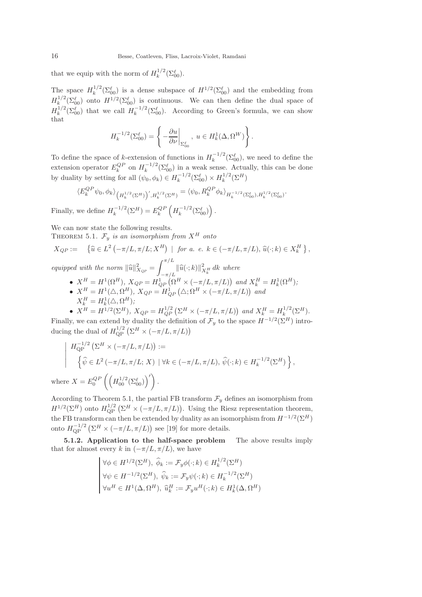that we equip with the norm of  $H_k^{1/2}$  $\frac{1}{k}^{1/2}(\Sigma_{00}^{\ell}).$ 

The space  $H_k^{1/2}$  $\int_k^{1/2} (\Sigma_{00}^{\ell})$  is a dense subspace of  $H^{1/2} (\Sigma_{00}^{\ell})$  and the embedding from  $H_k^{1/2}$  $\int_{k}^{1/2}(\Sigma_{00}^{\ell})$  onto  $H^{1/2}(\Sigma_{00}^{\ell})$  is continuous. We can then define the dual space of  $H_k^{1/2}$  $k_k^{1/2}(\Sigma_{00}^{\ell})$  that we call  $H_k^{-1/2}$  $\int_{k}^{-1/2} (\Sigma_{00}^{\ell})$ . According to Green's formula, we can show that

$$
H_k^{-1/2}(\Sigma_{00}^{\ell}) = \left\{ -\frac{\partial u}{\partial \nu} \bigg|_{\Sigma_{00}^{\ell}}, \ u \in H_k^1(\Delta, \Omega^W) \right\}.
$$

To define the space of k-extension of functions in  $H_k^{-1/2}$  $\binom{n-1}{k} \left(\sum_{0}^{\ell} 0\right)$ , we need to define the extension operator  $E_k^{QP}$  on  $H_k^{-1/2}$  $\int_{k}^{-1/2}(\Sigma_{00}^{\ell})$  in a weak sense. Actually, this can be done by duality by setting for all  $(\psi_0, \phi_k) \in H_k^{-1/2}$  $k_k^{-1/2}(\Sigma_{00}^{\ell})\times H_k^{1/2}$  $\binom{1/2}{k}$  $\left(\sum H\right)$ 

$$
\langle E_k^{QP} \psi_0, \phi_k \rangle_{\left(H_k^{1/2}(\Sigma^H)\right)', H_k^{1/2}(\Sigma^H)} = \langle \psi_0, R_k^{QP} \phi_k \rangle_{H_k^{-1/2}(\Sigma_{00}^\ell), H_k^{1/2}(\Sigma_{00}^\ell)}.
$$
  
we define  $H^{-1/2}(\Sigma^H) = E_{\text{P}}(H^{-1/2}(\Sigma^\ell))$ 

Finally, we define  $H_k^{-1/2}$  $k_k^{-1/2}(\Sigma^H) = E_k^{QP} \left( H_k^{-1/2} \right)$  $\binom{-1/2}{k} (\sum_{00}^{\ell})$ .

We can now state the following results.

THEOREM 5.1.  $\mathcal{F}_y$  *is an isomorphism from*  $X^H$  *onto* 

$$
X_{QP} := \left\{ \widehat{u} \in L^2 \left( -\pi/L, \pi/L; X^H \right) \mid \text{ for a. } e. \text{ } k \in (-\pi/L, \pi/L), \widehat{u}(\cdot; k) \in X_k^H \right\},\
$$

*equipped with the norm*  $\|\widehat{u}\|_{X_{QP}}^2 =$  $\int_0^{\pi/L}$  $\int_{-\pi/L}^{\pi} ||\widehat{u}(\cdot;k)||_{X_k^H}^2 \, dk$  where

•  $X^H = H^1(\Omega^H)$ ,  $X_{QP} = H^1_{QP}(\Omega^H \times (-\pi/L, \pi/L))$  and  $X^H_k = H^1_k(\Omega^H)$ ; •  $X^H = H^1(\triangle, \Omega^H)$ ,  $X_{QP} = H^1_{QP}(\triangle; \Omega^H \times (-\pi/L, \pi/L))$  and  $X_k^H = H_k^1(\triangle, \Omega^H);$ 

•  $X^H = H^{1/2}(\Sigma^H)$ ,  $X_{QP} = H_{QP}^{1/2}(\Sigma^H \times (-\pi/L, \pi/L))$  and  $X_k^H = H_k^{1/2}$  $k^{1/2}(\Sigma^H)$ . Finally, we can extend by duality the definition of  $\mathcal{F}_y$  to the space  $H^{-1/2}(\Sigma^H)$  introducing the dual of  $H_{\rm QP}^{1/2} \left( \Sigma^H \times \left( -\pi/L, \pi/L \right) \right)$ 

$$
\left| \begin{array}{l}\nH_{\text{QP}}^{-1/2} \left( \Sigma^H \times \left( -\pi/L, \pi/L \right) \right) := \\
\left\{ \widehat{\psi} \in L^2 \left( -\pi/L, \pi/L; X \right) \mid \forall k \in \left( -\pi/L, \pi/L \right), \widehat{\psi}(\cdot; k) \in H_k^{-1/2}(\Sigma^H) \right\}, \\
\text{re } X = E_0^{QP} \left( \left( H_{00}^{1/2}(\Sigma^{\ell}_{00}) \right)' \right).\n\end{array} \right.
$$

According to Theorem 5.1, the partial FB transform  $\mathcal{F}_y$  defines an isomorphism from  $H^{1/2}(\Sigma^H)$  onto  $H_{\text{QP}}^{1/2}(\Sigma^H \times (-\pi/L, \pi/L))$ . Using the Riesz representation theorem, the FB transform can then be extended by duality as an isomorphism from  $H^{-1/2}(\Sigma^H)$ onto  $H_{\text{QP}}^{-1/2} \left( \Sigma^H \times (-\pi/L, \pi/L) \right)$  see [19] for more details.

5.1.2. Application to the half-space problem The above results imply that for almost every k in  $(-\pi/L, \pi/L)$ , we have

$$
\forall \phi \in H^{1/2}(\Sigma^H), \ \hat{\phi}_k := \mathcal{F}_y \phi(\cdot; k) \in H_k^{1/2}(\Sigma^H)
$$

$$
\forall \psi \in H^{-1/2}(\Sigma^H), \ \hat{\psi}_k := \mathcal{F}_y \psi(\cdot; k) \in H_k^{-1/2}(\Sigma^H)
$$

$$
\forall u^H \in H^1(\Delta, \Omega^H), \ \hat{u}_k^H := \mathcal{F}_y u^H(\cdot; k) \in H_k^1(\Delta, \Omega^H)
$$

 $w$ he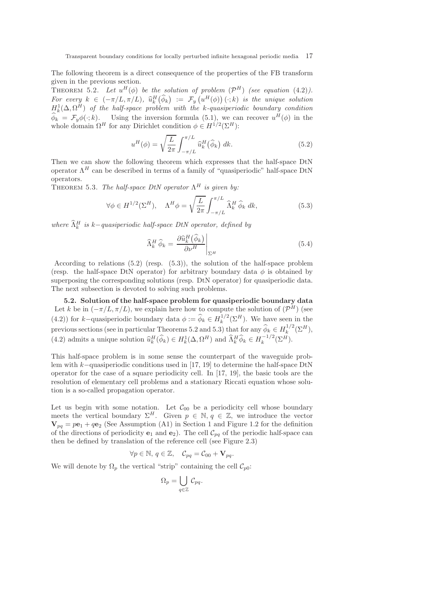The following theorem is a direct consequence of the properties of the FB transform given in the previous section.

THEOREM 5.2. Let  $u^H(\phi)$  be the solution of problem  $(\mathcal{P}^H)$  (see equation (4.2)). *For every*  $k \in (-\pi/L, \pi/L)$ ,  $\hat{u}_k^H(\hat{\phi}_k) := \mathcal{F}_y(u^H(\phi))(\cdot; k)$  *is the unique solution*  $H_k^1(\Delta, \Omega^H)$  of the half-space problem with the k-quasiperiodic boundary condition  $\widehat{\phi}_k = \mathcal{F}_y \phi(\cdot; k)$ . Using the inversion formula (5.1), we can recover  $u^H(\phi)$  in the whole domain  $\Omega^H$  for any Dirichlet condition  $\phi \in H^{1/2}(\Sigma^H)$ :

$$
u^H(\phi) = \sqrt{\frac{L}{2\pi}} \int_{-\pi/L}^{\pi/L} \widehat{u}_k^H(\widehat{\phi}_k) dk.
$$
 (5.2)

Then we can show the following theorem which expresses that the half-space DtN operator  $\Lambda^H$  can be described in terms of a family of "quasiperiodic" half-space DtN operators.

THEOREM 5.3. *The half-space DtN operator*  $\Lambda^H$  *is given by:* 

$$
\forall \phi \in H^{1/2}(\Sigma^H), \quad \Lambda^H \phi = \sqrt{\frac{L}{2\pi}} \int_{-\pi/L}^{\pi/L} \widehat{\Lambda}_k^H \widehat{\phi}_k \, dk,\tag{5.3}
$$

 $where \ \widehat{\Lambda}_k^H$  is k-quasiperiodic half-space DtN operator, defined by

$$
\widehat{\Lambda}_k^H \widehat{\phi}_k = \frac{\partial \widehat{u}_k^H(\widehat{\phi}_k)}{\partial \nu^H} \bigg|_{\Sigma^H}
$$
\n(5.4)

According to relations (5.2) (resp. (5.3)), the solution of the half-space problem (resp. the half-space DtN operator) for arbitrary boundary data  $\phi$  is obtained by superposing the corresponding solutions (resp. DtN operator) for quasiperiodic data. The next subsection is devoted to solving such problems.

5.2. Solution of the half-space problem for quasiperiodic boundary data Let k be in  $(-\pi/L, \pi/L)$ , we explain here how to compute the solution of  $(\mathcal{P}^H)$  (see (4.2)) for k-quasiperiodic boundary data  $\phi := \widehat{\phi}_k \in H_k^{1/2}$  $\int_k^{1/2} (\Sigma^H)$ . We have seen in the previous sections (see in particular Theorems 5.2 and 5.3) that for any  $\widehat{\phi}_k \in H_k^{1/2}$  $k^{1/2}(\Sigma^H),$ (4.2) admits a unique solution  $\hat{u}_k^H(\hat{\phi}_k) \in H_k^1(\Delta, \Omega^H)$  and  $\hat{\Lambda}_k^H \hat{\phi}_k \in H_k^{-1/2}$  $k^{-1/2}(\Sigma^H).$ 

This half-space problem is in some sense the counterpart of the waveguide problem with k−quasiperiodic conditions used in [17, 19] to determine the half-space DtN operator for the case of a square periodicity cell. In [17, 19], the basic tools are the resolution of elementary cell problems and a stationary Riccati equation whose solution is a so-called propagation operator.

Let us begin with some notation. Let  $\mathcal{C}_{00}$  be a periodicity cell whose boundary meets the vertical boundary  $\Sigma^H$ . Given  $p \in \mathbb{N}$ ,  $q \in \mathbb{Z}$ , we introduce the vector  $\mathbf{V}_{pq} = p\mathbf{e}_1 + q\mathbf{e}_2$  (See Assumption (A1) in Section 1 and Figure 1.2 for the definition of the directions of periodicity  $e_1$  and  $e_2$ ). The cell  $\mathcal{C}_{pq}$  of the periodic half-space can then be defined by translation of the reference cell (see Figure 2.3)

$$
\forall p \in \mathbb{N}, q \in \mathbb{Z}, \quad \mathcal{C}_{pq} = \mathcal{C}_{00} + \mathbf{V}_{pq}.
$$

We will denote by  $\Omega_p$  the vertical "strip" containing the cell  $\mathcal{C}_{p0}$ :

$$
\Omega_p = \bigcup_{q \in \mathbb{Z}} \mathcal{C}_{pq}.
$$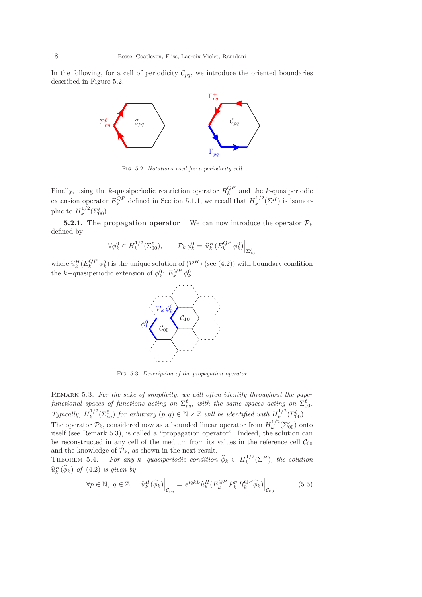In the following, for a cell of periodicity  $\mathcal{C}_{pq}$ , we introduce the oriented boundaries described in Figure 5.2.



Fig. 5.2. *Notations used for a periodicity cell*

Finally, using the k-quasiperiodic restriction operator  $R_k^{QP}$  and the k-quasiperiodic extension operator  $E_k^{QP}$  defined in Section 5.1.1, we recall that  $H_k^{1/2}$  $\kappa^{1/2}(\Sigma^H)$  is isomorphic to  $H_k^{1/2}$  $\int_k^{1/2} (\Sigma_{00}^{\ell}).$ 

**5.2.1. The propagation operator** We can now introduce the operator  $\mathcal{P}_k$ defined by

$$
\forall \phi_k^0 \in H_k^{1/2}(\Sigma_{00}^\ell), \qquad \mathcal{P}_k \,\phi_k^0 = \left. \hat{u}_k^H(E_k^{QP} \,\phi_k^0) \right|_{\Sigma_{10}^\ell}
$$

where  $\hat{u}_k^H(E_k^{QP} \phi_k^0)$  is the unique solution of  $(\mathcal{P}^H)$  (see (4.2)) with boundary condition the k–quasiperiodic extension of  $\phi_k^0$ :  $E_k^{QP} \phi_k^0$ .



Fig. 5.3. *Description of the propagation operator*

Remark 5.3. *For the sake of simplicity, we will often identify throughout the paper*  $\emph{functional spaces of functions on $\Sigma_{pq}^{\ell}$, with the same spaces acting on $\Sigma_{00}^{\ell}$.}$ *Typically,*  $H_k^{1/2}$  $\int_k^{1/2} (\sum_{pq}^{\ell})$  *for arbitrary*  $(p, q) \in \mathbb{N} \times \mathbb{Z}$  *will be identified with*  $H_k^{1/2}$  $\frac{1}{k}^{1/2}(\Sigma_{00}^{\ell}).$ The operator  $\mathcal{P}_k$ , considered now as a bounded linear operator from  $H_k^{1/2}$  $\int_k^{1/2} (\Sigma_{00}^{\ell})$  onto itself (see Remark 5.3), is called a "propagation operator". Indeed, the solution can be reconstructed in any cell of the medium from its values in the reference cell  $\mathcal{C}_{00}$ and the knowledge of  $\mathcal{P}_k$ , as shown in the next result.

THEOREM 5.4. *For any*  $k$ *-quasiperiodic condition*  $\widehat{\phi}_k \in H_k^{1/2}$  $\int_k^1 \left( \sum_H \right)$ , the solution  $\widehat{u}_k^H(\widehat{\phi}_k)$  of  $(4.2)$  *is given by* 

$$
\forall p \in \mathbb{N}, \ q \in \mathbb{Z}, \quad \left. \widehat{u}_k^H(\widehat{\phi}_k) \right|_{\mathcal{C}_{pq}} = e^{iqk} \widehat{u}_k^H(E_k^{QP} \mathcal{P}_k^p R_k^{QP} \widehat{\phi}_k) \Big|_{\mathcal{C}_{00}}. \tag{5.5}
$$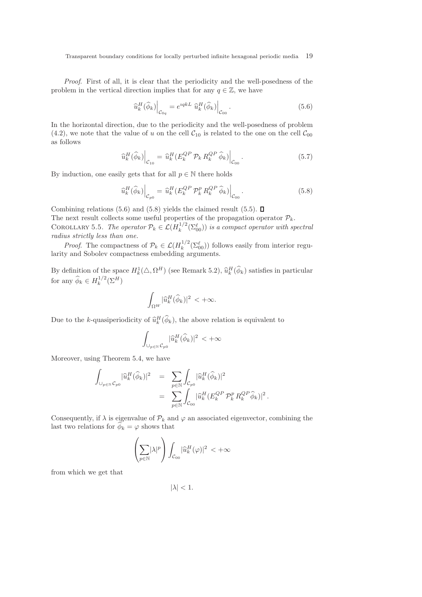*Proof*. First of all, it is clear that the periodicity and the well-posedness of the problem in the vertical direction implies that for any  $q \in \mathbb{Z}$ , we have

$$
\left.\widehat{u}_{k}^{H}(\widehat{\phi}_{k})\right|_{\mathcal{C}_{0q}} = e^{iqkL} \left.\widehat{u}_{k}^{H}(\widehat{\phi}_{k})\right|_{\mathcal{C}_{00}}.\tag{5.6}
$$

In the horizontal direction, due to the periodicity and the well-posedness of problem (4.2), we note that the value of u on the cell  $C_{10}$  is related to the one on the cell  $C_{00}$ as follows

$$
\left.\widehat{u}_{k}^{H}(\widehat{\phi}_{k})\right|_{\mathcal{C}_{10}} = \left.\widehat{u}_{k}^{H}(E_{k}^{QP} \mathcal{P}_{k} R_{k}^{QP} \widehat{\phi}_{k})\right|_{\mathcal{C}_{00}}.\tag{5.7}
$$

By induction, one easily gets that for all  $p \in \mathbb{N}$  there holds

$$
\left.\widehat{u}_{k}^{H}(\widehat{\phi}_{k})\right|_{\mathcal{C}_{p0}} = \left.\widehat{u}_{k}^{H}(E_{k}^{QP} \mathcal{P}_{k}^{p} R_{k}^{QP} \widehat{\phi}_{k})\right|_{\mathcal{C}_{00}}.\tag{5.8}
$$

Combining relations (5.6) and (5.8) yields the claimed result (5.5).  $\Box$ The next result collects some useful properties of the propagation operator  $\mathcal{P}_k$ . COROLLARY 5.5. *The operator*  $\mathcal{P}_k \in \mathcal{L}(H_k^{1/2})$  $\int_k^{1/2} (\Sigma_{00}^{\ell})$  *is a compact operator with spectral radius strictly less than one.*

*Proof.* The compactness of  $\mathcal{P}_k \in \mathcal{L}(H_k^{1/2})$  $\int_k^{1/2} (\Sigma_{00}^{\ell})$  follows easily from interior regularity and Sobolev compactness embedding arguments.

By definition of the space  $H_k^1(\Delta, \Omega^H)$  (see Remark 5.2),  $\hat{u}_k^H(\phi_k)$  satisfies in particular for any  $\widehat{\phi}_k \in H_k^{1/2}$  $\binom{1/2}{k}$  $\left(\sum H\right)$ 

$$
\int_{\Omega^W} |\widehat u_k^H(\widehat \phi_k)|^2 \, < +\infty.
$$

Due to the k-quasiperiodicity of  $\hat{u}_k^H(\phi_k)$ , the above relation is equivalent to

$$
\int_{\cup_{p\in\mathbb{N}}\mathcal{C}_{p0}}\lvert \widehat{u}_k^H(\widehat{\phi}_k)\rvert^2\,<+\infty
$$

Moreover, using Theorem 5.4, we have

$$
\begin{array}{lcl} \displaystyle\int_{\cup_{p\in\mathbb{N}}}\widehat{u}^H_k(\widehat{\phi}_k)|^2&=&\displaystyle\sum_{p\in\mathbb{N}}\displaystyle\int_{\mathcal{C}_{p0}}|\widehat{u}^H_k(\widehat{\phi}_k)|^2\\&=&\displaystyle\sum_{p\in\mathbb{N}}\displaystyle\int_{\mathcal{C}_{00}}|\widehat{u}^H_k(E_k^{QP}\,\mathcal{P}^p_k\,R_k^{QP}\widehat{\phi}_k)|^2\,. \end{array}
$$

Consequently, if  $\lambda$  is eigenvalue of  $\mathcal{P}_k$  and  $\varphi$  an associated eigenvector, combining the last two relations for  $\widehat{\phi}_k = \varphi$  shows that

$$
\left(\sum_{p\in\mathbb{N}}|\lambda|^p\right)\int_{\mathcal{C}_{00}}|\widehat{u}_k^H(\varphi)|^2\,<+\infty
$$

from which we get that

 $|\lambda| < 1$ .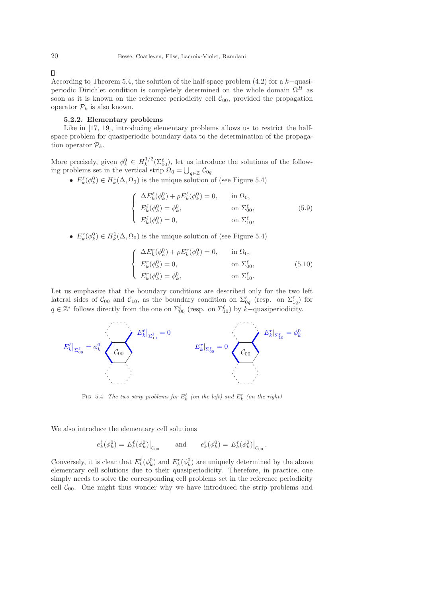П

According to Theorem 5.4, the solution of the half-space problem (4.2) for a k−quasiperiodic Dirichlet condition is completely determined on the whole domain  $\Omega^H$  as soon as it is known on the reference periodicity cell  $\mathcal{C}_{00}$ , provided the propagation operator  $\mathcal{P}_k$  is also known.

# 5.2.2. Elementary problems

Like in  $[17, 19]$ , introducing elementary problems allows us to restrict the halfspace problem for quasiperiodic boundary data to the determination of the propagation operator  $\mathcal{P}_k$ .

More precisely, given  $\phi_k^0 \in H_k^{1/2}$  $\int_k^{1/2} (\Sigma_{00}^{\ell})$ , let us introduce the solutions of the following problems set in the vertical strip  $\Omega_0 = \bigcup_{q \in \mathbb{Z}} C_{0q}$ 

•  $E_k^{\ell}(\phi_k^0) \in H_k^1(\Delta, \Omega_0)$  is the unique solution of (see Figure 5.4)

$$
\begin{cases}\n\Delta E_k^{\ell}(\phi_k^0) + \rho E_k^{\ell}(\phi_k^0) = 0, & \text{in } \Omega_0, \\
E_k^{\ell}(\phi_k^0) = \phi_k^0, & \text{on } \Sigma_{00}^{\ell}, \\
E_k^{\ell}(\phi_k^0) = 0, & \text{on } \Sigma_{10}^{\ell},\n\end{cases}
$$
\n(5.9)

•  $E_k^r(\phi_k^0) \in H_k^1(\Delta, \Omega_0)$  is the unique solution of (see Figure 5.4)

$$
\begin{cases}\n\Delta E_k^r(\phi_k^0) + \rho E_k^r(\phi_k^0) = 0, & \text{in } \Omega_0, \\
E_k^r(\phi_k^0) = 0, & \text{on } \Sigma_{00}^\ell, \\
E_k^r(\phi_k^0) = \phi_k^0, & \text{on } \Sigma_{10}^\ell.\n\end{cases}
$$
\n(5.10)

Let us emphasize that the boundary conditions are described only for the two left lateral sides of  $C_{00}$  and  $C_{10}$ , as the boundary condition on  $\Sigma_{0q}^{\ell}$  (resp. on  $\Sigma_{1q}^{\ell}$ ) for  $q \in \mathbb{Z}^*$  follows directly from the one on  $\Sigma_{00}^{\ell}$  (resp. on  $\Sigma_{10}^{\ell}$ ) by k–quasiperiodicity.



FIG. 5.4. The two strip problems for  $E_k^{\ell}$  (on the left) and  $E_k^r$  (on the right)

We also introduce the elementary cell solutions

$$
e_k^{\ell}(\phi_k^0) = E_k^{\ell}(\phi_k^0)|_{\mathcal{C}_{00}}
$$
 and  $e_k^r(\phi_k^0) = E_k^r(\phi_k^0)|_{\mathcal{C}_{00}}$ .

Conversely, it is clear that  $E_k^{\ell}(\phi_k^0)$  and  $E_k^r(\phi_k^0)$  are uniquely determined by the above elementary cell solutions due to their quasiperiodicity. Therefore, in practice, one simply needs to solve the corresponding cell problems set in the reference periodicity cell  $C_{00}$ . One might thus wonder why we have introduced the strip problems and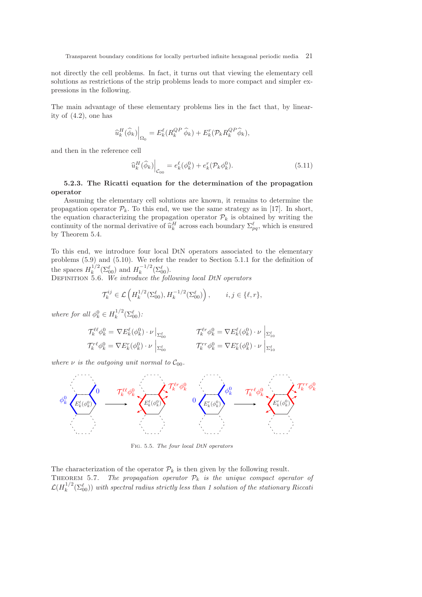not directly the cell problems. In fact, it turns out that viewing the elementary cell solutions as restrictions of the strip problems leads to more compact and simpler expressions in the following.

The main advantage of these elementary problems lies in the fact that, by linearity of (4.2), one has

$$
\left.\widehat{u}_{k}^{H}(\widehat{\phi}_{k})\right|_{\Omega_{0}}=E_{k}^{\ell}(R_{k}^{QP}\ \widehat{\phi}_{k})+E_{k}^{r}(\mathcal{P}_{k}R_{k}^{QP}\ \widehat{\phi}_{k}),
$$

and then in the reference cell

$$
\widehat{u}_k^H(\widehat{\phi}_k)\Big|_{\mathcal{C}_{00}} = e_k^{\ell}(\phi_k^0) + e_k^r(\mathcal{P}_k \phi_k^0). \tag{5.11}
$$

# 5.2.3. The Ricatti equation for the determination of the propagation operator

Assuming the elementary cell solutions are known, it remains to determine the propagation operator  $\mathcal{P}_k$ . To this end, we use the same strategy as in [17]. In short, the equation characterizing the propagation operator  $\mathcal{P}_k$  is obtained by writing the continuity of the normal derivative of  $\hat{u}_k^H$  across each boundary  $\Sigma_{pq}^{\ell}$ , which is ensured by Theorem 5.4.

To this end, we introduce four local DtN operators associated to the elementary problems (5.9) and (5.10). We refer the reader to Section 5.1.1 for the definition of the spaces  $H_k^{1/2}$  $\int_k^{1/2} (\Sigma_{00}^{\ell})$  and  $H_k^{-1/2}$  $k^{-1/2}(\Sigma_{00}^{\ell}).$ 

Definition 5.6. *We introduce the following local DtN operators*

$$
\mathcal{T}_k^{ij} \in \mathcal{L}\left(H_k^{1/2}(\Sigma_{00}^{\ell}), H_k^{-1/2}(\Sigma_{00}^{\ell})\right), \qquad i, j \in \{\ell, r\},\
$$

*where for all*  $\phi_k^0 \in H_k^{1/2}$  $\frac{1}{k}^{1/2}(\Sigma_{00}^{\ell})$ :

$$
\mathcal{T}_k^{\ell\ell} \phi_k^0 = \nabla E_k^{\ell} (\phi_k^0) \cdot \nu \big|_{\Sigma_{00}^{\ell}} \qquad \qquad \mathcal{T}_k^{\ell r} \phi_k^0 = \nabla E_k^{\ell} (\phi_k^0) \cdot \nu \big|_{\Sigma_{10}^{\ell}} \qquad \qquad
$$
  

$$
\mathcal{T}_k^{r\ell} \phi_k^0 = \nabla E_k^r (\phi_k^0) \cdot \nu \big|_{\Sigma_{00}^{\ell}} \qquad \qquad
$$
  

$$
\mathcal{T}_k^{r r} \phi_k^0 = \nabla E_k^r (\phi_k^0) \cdot \nu \big|_{\Sigma_{10}^{\ell}} \qquad \qquad
$$

*where*  $\nu$  *is the outgoing unit normal to*  $C_{00}$ *.* 



Fig. 5.5. *The four local DtN operators*

The characterization of the operator  $\mathcal{P}_k$  is then given by the following result. THEOREM 5.7. *The propagation operator*  $P_k$  *is the unique compact operator of*  ${\cal L}(H_k^{1/2}$  $\mathbb{E}_{k}^{1/2}(\Sigma_{00}^{\ell})$  with spectral radius strictly less than 1 solution of the stationary Riccation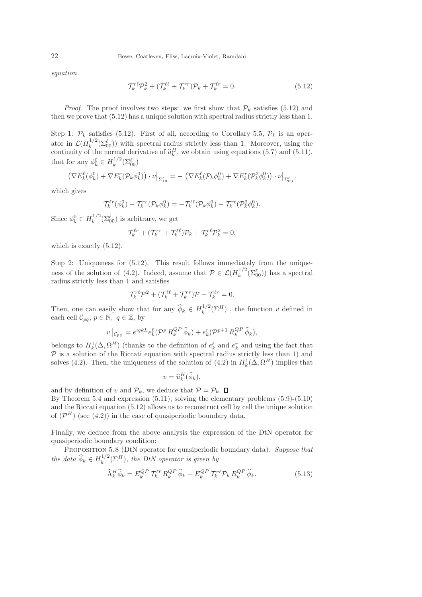*equation*

$$
\mathcal{T}_k^{r\ell} \mathcal{P}_k^2 + (\mathcal{T}_k^{\ell\ell} + \mathcal{T}_k^{rr}) \mathcal{P}_k + \mathcal{T}_k^{\ell r} = 0.
$$
 (5.12)

*Proof.* The proof involves two steps: we first show that  $P_k$  satisfies (5.12) and then we prove that (5.12) has a unique solution with spectral radius strictly less than 1.

Step 1:  $\mathcal{P}_k$  satisfies (5.12). First of all, according to Corollary 5.5,  $\mathcal{P}_k$  is an operator in  $\mathcal{L}(H_k^{1/2})$  $\int_k^{1/2}(\Sigma_{00}^{\ell})$  with spectral radius strictly less than 1. Moreover, using the continuity of the normal derivative of  $\hat{u}_k^H$ , we obtain using equations (5.7) and (5.11), that for any  $\phi_k^0 \in H_k^{1/2}$  $\binom{1/2}{k} (\sum_{00}^{\ell})$ 

$$
\left(\nabla E_k^{\ell}(\phi_k^0) + \nabla E_k^r(\mathcal{P}_k \phi_k^0)\right) \cdot \nu\big|_{\Sigma_{10}^{\ell}} = -\left(\nabla E_k^{\ell}(\mathcal{P}_k \phi_k^0) + \nabla E_k^r(\mathcal{P}_k^2 \phi_k^0)\right) \cdot \nu\big|_{\Sigma_{00}^{\ell}},
$$

which gives

$$
\mathcal{T}_k^{\ell r}(\phi_k^0) + \mathcal{T}_k^{rr}(\mathcal{P}_k \phi_k^0) = -\mathcal{T}_k^{\ell \ell}(\mathcal{P}_k \phi_k^0) - \mathcal{T}_k^{r\ell}(\mathcal{P}_k^2 \phi_k^0).
$$

Since  $\phi_k^0 \in H_k^{1/2}$  $\int_k^{1/2} (\Sigma_{00}^{\ell})$  is arbitrary, we get

$$
\mathcal{T}_k^{\ell r} + (\mathcal{T}_k^{rr} + \mathcal{T}_k^{\ell \ell}) \mathcal{P}_k + \mathcal{T}_k^{r \ell} \mathcal{P}_k^2 = 0,
$$

which is exactly  $(5.12)$ .

Step 2: Uniqueness for (5.12). This result follows immediately from the uniqueness of the solution of (4.2). Indeed, assume that  $\mathcal{P} \in \mathcal{L}(H_k^{1/2})$  $\int_k^{1/2} (\Sigma_{00}^{\ell})$  has a spectral radius strictly less than 1 and satisfies

$$
\mathcal{T}_k^{r\ell} \mathcal{P}^2 + (\mathcal{T}_k^{\ell\ell} + \mathcal{T}_k^{rr}) \mathcal{P} + \mathcal{T}_k^{\ell r} = 0.
$$

Then, one can easily show that for any  $\widehat{\phi}_k \in H_k^{1/2}$  $\int_k^1$ <sup>(2H</sup>), the function v defined in each cell  $\mathcal{C}_{pq}, p \in \mathbb{N}, q \in \mathbb{Z}$ , by

$$
v\big|_{\mathcal{C}_{pq}} = e^{iqkL} e_k^{\ell} (\mathcal{P}^p R_k^{QP} \widehat{\phi}_k) + e_k^r (\mathcal{P}^{p+1} R_k^{QP} \widehat{\phi}_k),
$$

belongs to  $H_k^1(\Delta, \Omega^H)$  (thanks to the definition of  $e_k^{\ell}$  and  $e_k^r$  and using the fact that  $\mathcal{P}$  is a solution of the Riccati equation with spectral radius strictly less than 1) and solves (4.2). Then, the uniqueness of the solution of (4.2) in  $H_k^1(\Delta, \Omega^H)$  implies that

$$
v = \widehat{u}_k^H(\widehat{\phi}_k),
$$

and by definition of v and  $\mathcal{P}_k$ , we deduce that  $\mathcal{P} = \mathcal{P}_k$ .  $\Box$ By Theorem 5.4 and expression (5.11), solving the elementary problems (5.9)-(5.10) and the Riccati equation (5.12) allows us to reconstruct cell by cell the unique solution of  $(\mathcal{P}^H)$  (see (4.2)) in the case of quasiperiodic boundary data.

Finally, we deduce from the above analysis the expression of the DtN operator for quasiperiodic boundary condition:

Proposition 5.8 (DtN operator for quasiperiodic boundary data). *Suppose that the data*  $\widehat{\phi}_k \in H_k^{1/2}$  $\int_k^{1/2} (\Sigma^H)$ , the DtN operator is given by

$$
\widehat{\Lambda}_k^H \widehat{\phi}_k = E_k^{QP} \mathcal{T}_k^{\ell\ell} R_k^{QP} \widehat{\phi}_k + E_k^{QP} \mathcal{T}_k^{\tau\ell} \mathcal{P}_k R_k^{QP} \widehat{\phi}_k. \tag{5.13}
$$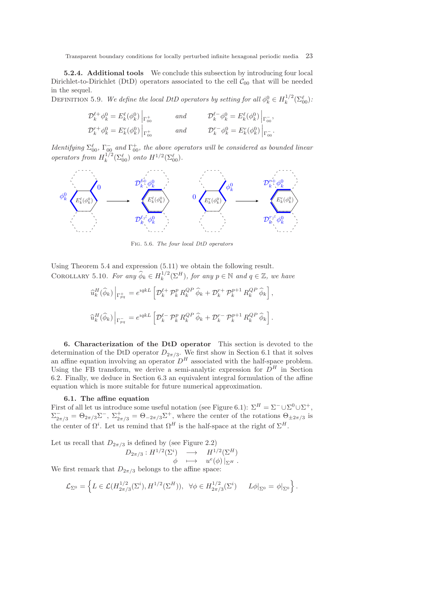5.2.4. Additional tools We conclude this subsection by introducing four local Dirichlet-to-Dirichlet (DtD) operators associated to the cell  $\mathcal{C}_{00}$  that will be needed in the sequel.

DEFINITION 5.9. *We define the local DtD operators by setting for all*  $\phi_k^0 \in H_k^{1/2}$  $\frac{1}{k}^{1/2}(\Sigma_{00}^{\ell})$ :

,

.

| $\mathcal{D}_k^{\ell +} \phi_k^0 = E_k^{\ell}(\phi_k^0) \Big _{\Gamma_{00}^+}$ | and | $\mathcal{D}_k^{\ell -} \phi_k^0 = E_k^{\ell}(\phi_k^0) \left _{\Gamma_{00}^-} \right.$ |
|--------------------------------------------------------------------------------|-----|-----------------------------------------------------------------------------------------|
| $\mathcal{D}_k^{r+} \phi_k^0 = E_k^r(\phi_k^0) \Big _{\Gamma_{00}^+}$          | and | $\mathcal{D}_{k}^{r-} \phi_{k}^{0} = E_{k}^{r}(\phi_{k}^{0})\Big _{\Gamma_{00}^{-}}$    |

*Identifying*  $\Sigma_{00}^{\ell}$ ,  $\Gamma_{00}^-$  *and*  $\Gamma_{00}^+$ , the above operators will be considered as bounded linear *operators from*  $H_k^{1/2}$  $\int_k^{1/2} (\Sigma_{00}^{\ell}) \text{ onto } H^{1/2} (\Sigma_{00}^{\ell}).$ 



Fig. 5.6. *The four local DtD operators*

Using Theorem 5.4 and expression (5.11) we obtain the following result. COROLLARY 5.10. *For any*  $\widehat{\phi}_k \in H_k^{1/2}$  $\mathbb{R}^{1/2}(\Sigma^H)$ *, for any*  $p \in \mathbb{N}$  *and*  $q \in \mathbb{Z}$ *, we have* 

$$
\label{eq:2} \begin{split} \widehat{u}_k^H(\widehat{\phi}_k)\left|_{\Gamma_{pq}^+}\right. = &\, e^{\imath q k L} \left[ \mathcal{D}_k^{\ell+} \mathcal{P}_k^p \, R_k^{QP} \, \widehat{\phi}_k + \mathcal{D}_k^{r+} \mathcal{P}_k^{p+1} \, R_k^{QP} \, \widehat{\phi}_k \right], \\ \widehat{u}_k^H(\widehat{\phi}_k)\left|_{\Gamma_{pq}^-}\right. = &\, e^{\imath q k L} \left[ \mathcal{D}_k^{\ell-} \mathcal{P}_k^p \, R_k^{QP} \, \widehat{\phi}_k + \mathcal{D}_k^{r-} \mathcal{P}_k^{p+1} \, R_k^{QP} \, \widehat{\phi}_k \right]. \end{split}
$$

6. Characterization of the DtD operator This section is devoted to the determination of the DtD operator  $D_{2\pi/3}$ . We first show in Section 6.1 that it solves an affine equation involving an operator  $D^H$  associated with the half-space problem. Using the FB transform, we derive a semi-analytic expression for  $D<sup>H</sup>$  in Section 6.2. Finally, we deduce in Section 6.3 an equivalent integral formulation of the affine equation which is more suitable for future numerical approximation.

# 6.1. The affine equation

First of all let us introduce some useful notation (see Figure 6.1):  $\Sigma^H = \Sigma^- \cup \Sigma^0 \cup \Sigma^+,$  $\Sigma_{2\pi/3}^- = \Theta_{2\pi/3} \Sigma^-, \ \Sigma_{2\pi/3}^+ = \Theta_{-2\pi/3} \Sigma^+,$  where the center of the rotations  $\Theta_{\pm 2\pi/3}$  is the center of  $\Omega^i$ . Let us remind that  $\Omega^H$  is the half-space at the right of  $\Sigma^H$ .

Let us recall that  $D_{2\pi/3}$  is defined by (see Figure 2.2)

$$
D_{2\pi/3}: H^{1/2}(\Sigma^i) \longrightarrow H^{1/2}(\Sigma^H)
$$
  

$$
\phi \longmapsto u^e(\phi)|_{\Sigma^H}.
$$

We first remark that  $D_{2\pi/3}$  belongs to the affine space:

$$
\mathcal{L}_{\Sigma^0} = \left\{ L \in \mathcal{L}(H_{2\pi/3}^{1/2}(\Sigma^i), H^{1/2}(\Sigma^H)), \ \forall \phi \in H_{2\pi/3}^{1/2}(\Sigma^i) \quad L\phi|_{\Sigma^0} = \phi|_{\Sigma^0} \right\}.
$$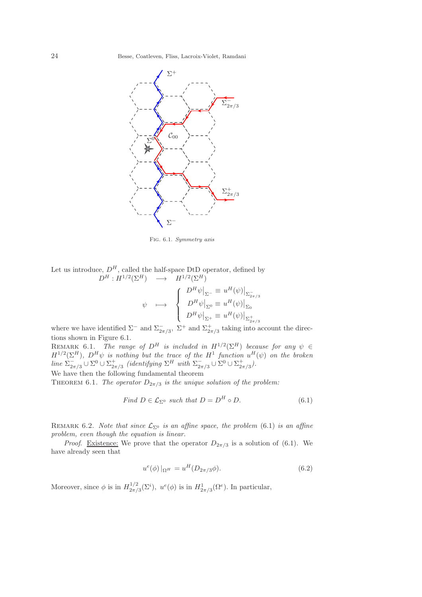

Fig. 6.1. *Symmetry axis*

Let us introduce,  $D^H$ , called the half-space DtD operator, defined by  $D^H: H^{1/2}(\Sigma^H) \longrightarrow H^{1/2}(\Sigma^H)$ 

$$
\psi \longrightarrow \begin{cases} D^H \psi \big|_{\Sigma^-} \equiv u^H(\psi) \big|_{\Sigma^-_{2\pi/3}} \\ D^H \psi \big|_{\Sigma^0} \equiv u^H(\psi) \big|_{\Sigma_0} \\ D^H \psi \big|_{\Sigma^+} \equiv u^H(\psi) \big|_{\Sigma^+_{2\pi/3}} \end{cases}
$$

where we have identified  $\Sigma^-$  and  $\Sigma^-_{2\pi/3}$ ,  $\Sigma^+$  and  $\Sigma^+_{2\pi/3}$  taking into account the directions shown in Figure 6.1.

REMARK 6.1. *The range of*  $D^H$  *is included in*  $H^{1/2}(\Sigma^H)$  *because for any*  $\psi \in$  $H^{1/2}(\Sigma^H)$ ,  $D^H \psi$  is nothing but the trace of the  $H^1$  function  $u^H(\psi)$  on the broken  $line \sum_{2n}^{-1}$  $\sum_{2\pi/3}^{-1} \cup \Sigma^0 \cup \Sigma_{2\pi/3}^+$  *(identifying*  $\Sigma^H$  *with*  $\Sigma_{2\pi}^ \sum_{2\pi/3}^{-1} \cup \Sigma^{0} \cup \Sigma^{+}_{2\pi/3}$ ).

We have then the following fundamental theorem

THEOREM 6.1. *The operator*  $D_{2\pi/3}$  *is the unique solution of the problem:* 

Find 
$$
D \in \mathcal{L}_{\Sigma^0}
$$
 such that  $D = D^H \circ D$ . (6.1)

REMARK 6.2. *Note that since*  $\mathcal{L}_{\Sigma^0}$  *is an affine space, the problem* (6.1) *is an affine problem, even though the equation is linear.*

*Proof.* Existence: We prove that the operator  $D_{2\pi/3}$  is a solution of (6.1). We have already seen that

$$
u^{e}(\phi)|_{\Omega^{H}} = u^{H}(D_{2\pi/3}\phi).
$$
\n(6.2)

Moreover, since  $\phi$  is in  $H_{2\pi/2}^{1/2}$  $u^2_{2\pi/3}(\Sigma^i)$ ,  $u^e(\phi)$  is in  $H^1_{2\pi/3}(\Omega^e)$ . In particular,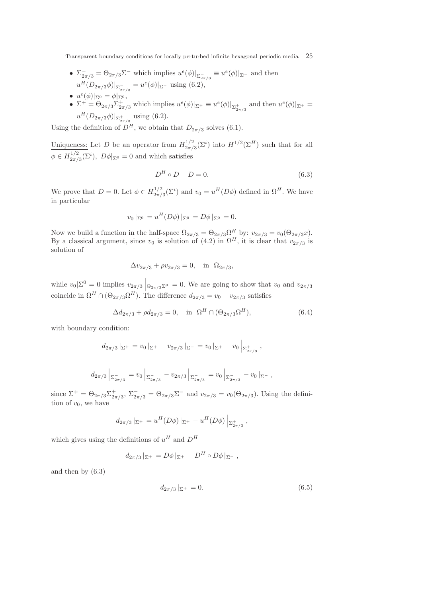- $\Sigma_{2\pi/3}^- = \Theta_{2\pi/3} \Sigma^-$  which implies  $u^e(\phi)|_{\Sigma_{2\pi/3}^-} \equiv u^e(\phi)|_{\Sigma^-}$  and then  $u^H(D_{2\pi/3}\phi)|_{\Sigma_{2\pi/3}^-} = u^e(\phi)|_{\Sigma^-}$  using (6.2), •  $u^{e}(\phi)|_{\Sigma^{0}} = \phi|_{\Sigma^{0}},$
- $\Sigma^+ = \Theta_{2\pi/3} \Sigma^+_{2\pi/3}$  which implies  $u^e(\phi)|_{\Sigma^+} \equiv u^e(\phi)|_{\Sigma^+_{2\pi/3}}$  and then  $u^e(\phi)|_{\Sigma^+} =$  $u^{H}(D_{2\pi/3}\phi)|_{\Sigma_{2\pi/3}^+}$  using (6.2).

Using the definition of  $D^H$ , we obtain that  $D_{2\pi/3}$  solves (6.1).

Uniqueness: Let D be an operator from  $H_{2\pi/2}^{1/2}$  $\frac{d^{1/2}}{2\pi/3}(\Sigma^i)$  into  $H^{1/2}(\Sigma^H)$  such that for all  $\phi \in H_{2\pi/}^{1/2}$  $2\pi/3(\Sigma^i)$ ,  $D\phi|_{\Sigma^0} = 0$  and which satisfies

$$
D^H \circ D - D = 0. \tag{6.3}
$$

We prove that  $D=0$ . Let  $\phi \in H_{2\pi/2}^{1/2}$  $u_{2\pi/3}^{1/2}(\Sigma^i)$  and  $v_0 = u^H(D\phi)$  defined in  $\Omega^H$ . We have in particular

$$
v_0|_{\Sigma^0} = u^H(D\phi)|_{\Sigma^0} = D\phi|_{\Sigma^0} = 0.
$$

Now we build a function in the half-space  $\Omega_{2\pi/3} = \Theta_{2\pi/3} \Omega^H$  by:  $v_{2\pi/3} = v_0 (\Theta_{2\pi/3} x)$ . By a classical argument, since  $v_0$  is solution of  $(4.2)$  in  $\Omega^H$ , it is clear that  $v_{2\pi/3}$  is solution of

$$
\Delta v_{2\pi/3} + \rho v_{2\pi/3} = 0
$$
, in  $\Omega_{2\pi/3}$ ,

while  $v_0|\Sigma^0 = 0$  implies  $v_{2\pi/3}$   $\Big|\Theta_{2\pi/3}\Sigma^0 = 0$ . We are going to show that  $v_0$  and  $v_{2\pi/3}$ coincide in  $\Omega^H \cap (\Theta_{2\pi/3} \Omega^H)$ . The difference  $d_{2\pi/3} = v_0 - v_{2\pi/3}$  satisfies

$$
\Delta d_{2\pi/3} + \rho d_{2\pi/3} = 0, \text{ in } \Omega^H \cap (\Theta_{2\pi/3} \Omega^H), \tag{6.4}
$$

with boundary condition:

$$
d_{2\pi/3}|_{\Sigma^+} = v_0|_{\Sigma^+} - v_{2\pi/3}|_{\Sigma^+} = v_0|_{\Sigma^+} - v_0|_{\Sigma^+_{2\pi/3}} ,
$$

$$
d_{2\pi/3}\left|_{\Sigma_{2\pi/3}^-} = v_0\left|_{\Sigma_{2\pi/3}^-} - v_{2\pi/3}\right|\right|_{\Sigma_{2\pi/3}^-} = v_0\left|_{\Sigma_{2\pi/3}^-} - v_0\right|_{\Sigma^-},
$$

since  $\Sigma^+ = \Theta_{2\pi/3} \Sigma^+_{2\pi/3}$ ,  $\Sigma^-_{2\pi/3} = \Theta_{2\pi/3} \Sigma^-$  and  $v_{2\pi/3} = v_0(\Theta_{2\pi/3})$ . Using the definition of  $v_0$ , we have

$$
d_{2\pi/3}|_{\Sigma^+} = u^H(D\phi)|_{\Sigma^+} - u^H(D\phi)|_{\Sigma^+_{2\pi/3}} ,
$$

which gives using the definitions of  $u^H$  and  $D^H$ 

$$
d_{2\pi/3}|_{\Sigma^+} = D\phi|_{\Sigma^+} - D^H \circ D\phi|_{\Sigma^+} ,
$$

and then by (6.3)

$$
d_{2\pi/3}|_{\Sigma^+} = 0.\t\t(6.5)
$$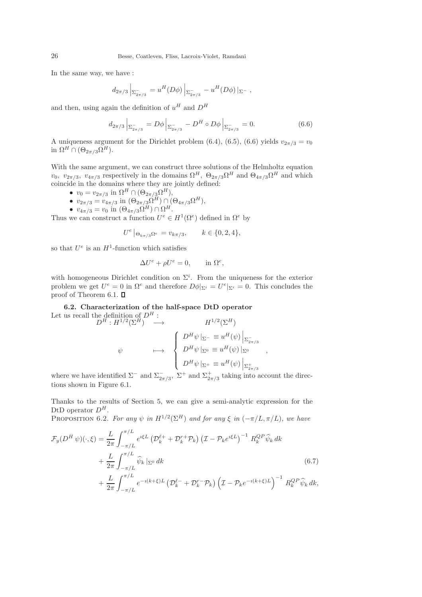In the same way, we have :

$$
d_{2\pi/3}\Big|_{\Sigma_{2\pi/3}^-} = u^H(D\phi)\Big|_{\Sigma_{2\pi/3}^-} - u^H(D\phi)\Big|_{\Sigma^-} ,
$$

and then, using again the definition of  $u^H$  and  $D^H$ 

$$
d_{2\pi/3} \left| \sum_{2\pi/3} = D\phi \right| \sum_{2\pi/3} - D^H \circ D\phi \left| \sum_{2\pi/3} = 0. \right
$$
 (6.6)

A uniqueness argument for the Dirichlet problem (6.4), (6.5), (6.6) yields  $v_{2\pi/3} = v_0$ in  $\Omega^H \cap (\Theta_{2\pi/3} \Omega^H)$ .

With the same argument, we can construct three solutions of the Helmholtz equation  $v_0$ ,  $v_{2\pi/3}$ ,  $v_{4\pi/3}$  respectively in the domains  $\Omega^H$ ,  $\Theta_{2\pi/3}\Omega^H$  and  $\Theta_{4\pi/3}\Omega^H$  and which coincide in the domains where they are jointly defined:

- $v_0 = v_{2\pi/3}$  in  $\Omega^H \cap (\Theta_{2\pi/3} \Omega^H),$
- $v_{2\pi/3} = v_{4\pi/3} \text{ in } (\Theta_{2\pi/3} \Omega^H) \cap (\Theta_{4\pi/3} \Omega^H),$
- $v_{4\pi/3} = v_0$  in  $(\Theta_{4\pi/3} \Omega^H) \cap \Omega^H$ .

Thus we can construct a function  $U^e \in H^1(\Omega^e)$  defined in  $\Omega^e$  by

$$
U^e |_{\Theta_{k\pi/3}\Omega^e} = v_{k\pi/3}, \qquad k \in \{0, 2, 4\},\
$$

so that  $U^e$  is an  $H^1$ -function which satisfies

$$
\Delta U^e + \rho U^e = 0, \quad \text{in } \Omega^e,
$$

with homogeneous Dirichlet condition on  $\Sigma^i$ . From the uniqueness for the exterior problem we get  $U^e = 0$  in  $\Omega^e$  and therefore  $D\phi|_{\Sigma^i} = U^e|_{\Sigma^i} = 0$ . This concludes the proof of Theorem 6.1.  $\square$ 

6.2. Characterization of the half-space DtD operator Let us recall the definition of  $D^H$ :  $\mathbf{L}^{1/2}(\nabla H)$ 

$$
D^{H}: H^{1/2}(\Sigma^{H}) \longrightarrow H^{1/2}(\Sigma^{H})
$$
  

$$
\psi \longmapsto \begin{cases} D^{H}\psi|_{\Sigma^{-}} \equiv u^{H}(\psi)|_{\Sigma_{2\pi/3}^{\tilde{}}}}\\ D^{H}\psi|_{\Sigma^{0}} \equiv u^{H}(\psi)|_{\Sigma^{0}}\\ D^{H}\psi|_{\Sigma^{+}} \equiv u^{H}(\psi)|_{\Sigma_{2\pi/3}^{\tilde{}}}\end{cases}
$$

,

where we have identified  $\Sigma^-$  and  $\Sigma^-_{2\pi/3}$ ,  $\Sigma^+$  and  $\Sigma^+_{2\pi/3}$  taking into account the directions shown in Figure 6.1.

Thanks to the results of Section 5, we can give a semi-analytic expression for the DtD operator  $D^H$ .

PROPOSITION 6.2. *For any*  $\psi$  *in*  $H^{1/2}(\Sigma^H)$  *and for any*  $\xi$  *in*  $(-\pi/L, \pi/L)$ *, we have*  $\overline{I}$ 

$$
\mathcal{F}_{y}(D^{H}\psi)(\cdot,\xi) = \frac{L}{2\pi} \int_{-\pi/L}^{\pi/L} e^{i\xi L} \left(\mathcal{D}_{k}^{\ell+} + \mathcal{D}_{k}^{r+} \mathcal{P}_{k}\right) \left(\mathcal{I} - \mathcal{P}_{k} e^{i\xi L}\right)^{-1} R_{k}^{QP} \widehat{\psi}_{k} dk
$$
  
+ 
$$
\frac{L}{2\pi} \int_{-\pi/L}^{\pi/L} \widehat{\psi}_{k} \left|_{\Sigma^{0}} dk
$$
  
+ 
$$
\frac{L}{2\pi} \int_{-\pi/L}^{\pi/L} e^{-i(k+\xi)L} \left(\mathcal{D}_{k}^{\ell-} + \mathcal{D}_{k}^{r-} \mathcal{P}_{k}\right) \left(\mathcal{I} - \mathcal{P}_{k} e^{-i(k+\xi)L}\right)^{-1} R_{k}^{QP} \widehat{\psi}_{k} dk,
$$
  
(6.7)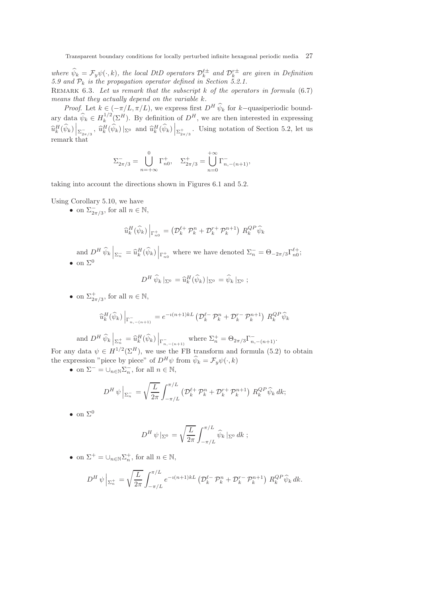where  $\hat{\psi}_k = \mathcal{F}_y \psi(\cdot, k)$ , the local DtD operators  $\mathcal{D}_k^{\ell \pm}$  and  $\mathcal{D}_k^{r \pm}$  are given in Definition *5.9 and* P<sup>k</sup> *is the propagation operator defined in Section 5.2.1.*

Remark 6.3. *Let us remark that the subscript* k *of the operators in formula* (6.7) *means that they actually depend on the variable* k*.*

*Proof.* Let  $k \in (-\pi/L, \pi/L)$ , we express first  $D^H \hat{\psi}_k$  for k–quasiperiodic boundary data  $\widehat{\psi}_k \in H_k^{1/2}$  $\int_k^{1/2} (\Sigma^H)$ . By definition of  $D^H$ , we are then interested in expressing  $\widehat{u}_{k}^{H}(\widehat{\psi}_{k})\left|_{\Sigma_{2\pi/3}^{-}}$ ,  $\widehat{u}_{k}^{H}(\widehat{\psi}_{k})\left|_{\Sigma^{0}}\right.$  and  $\widehat{u}_{k}^{H}(\widehat{\psi}_{k})\left|_{\Sigma_{2\pi/3}^{+}}$ . Using notation of Section 5.2, let us remark that

$$
\Sigma_{2\pi/3}^- = \bigcup_{n = +\infty}^0 \Gamma_{n0}^+, \quad \Sigma_{2\pi/3}^+ = \bigcup_{n = 0}^{+\infty} \Gamma_{n, -(n+1)}^-,
$$

taking into account the directions shown in Figures 6.1 and 5.2.

Using Corollary 5.10, we have

• on  $\Sigma_{2\pi/3}^-$ , for all  $n \in \mathbb{N}$ ,

$$
\widehat{u}_k^H(\widehat{\psi}_k)\Big|_{\Gamma_{n_0}^+} = \left(\mathcal{D}_k^{\ell+} \mathcal{P}_k^n + \mathcal{D}_k^{r+} \mathcal{P}_k^{n+1}\right) R_k^{QP} \widehat{\psi}_k
$$

and  $D^H \widehat{\psi}_k \Big|_{\Sigma_n^-} = \widehat{u}_k^H(\widehat{\psi}_k) \Big|_{\Gamma_{n_0}^+}$  where we have denoted  $\Sigma_n^- = \Theta_{-2\pi/3} \Gamma_{n_0}^{\ell_+};$ • on  $\Sigma^0$ 

$$
D^H \,\widehat{\psi}_k \,|_{\Sigma^0} = \widehat{u}_k^H(\widehat{\psi}_k) \,|_{\Sigma^0} = \widehat{\psi}_k \,|_{\Sigma^0} \;;
$$

• on  $\Sigma^+_{2\pi/3}$ , for all  $n \in \mathbb{N}$ ,

$$
\widehat{u}_{k}^{H}(\widehat{\psi}_{k})\Big|_{\Gamma_{n,-(n+1)}^{-}} = e^{-i(n+1)kL} \left(\mathcal{D}_{k}^{\ell-} \mathcal{P}_{k}^{n} + \mathcal{D}_{k}^{r-} \mathcal{P}_{k}^{n+1}\right) R_{k}^{QP} \widehat{\psi}_{k}
$$

and 
$$
D^H \widehat{\psi}_k \Big|_{\Sigma_n^+} = \widehat{u}_k^H(\widehat{\psi}_k) \Big|_{\Gamma_{n,-(n+1)}^-}
$$
 where  $\Sigma_n^+ = \Theta_{2\pi/3} \Gamma_{n,-(n+1)}^-$ .

For any data  $\psi \in H^{1/2}(\Sigma^H)$ , we use the FB transform and formula (5.2) to obtain the expression "piece by piece" of  $D^H \psi$  from  $\widehat{\psi}_k = \mathcal{F}_y \psi(\cdot, k)$ 

• on  $\Sigma^- = \cup_{n \in \mathbb{N}} \Sigma_n^-$ , for all  $n \in \mathbb{N}$ ,

$$
D^H \psi \Big|_{\Sigma_n^-} = \sqrt{\frac{L}{2\pi}} \int_{-\pi/L}^{\pi/L} \left( \mathcal{D}_k^{\ell+} \mathcal{P}_k^n + \mathcal{D}_k^{r+} \mathcal{P}_k^{n+1} \right) R_k^{QP} \widehat{\psi}_k dk;
$$

• on  $\Sigma^0$ 

$$
D^H \, \psi \, |_{\Sigma^0} \, = \sqrt{\frac{L}{2\pi}} \int_{-\pi/L}^{\pi/L} \widehat{\psi}_k \, |_{\Sigma^0} \, dk \; ;
$$

• on  $\Sigma^+ = \bigcup_{n \in \mathbb{N}} \Sigma_n^+$ , for all  $n \in \mathbb{N}$ ,

$$
D^H \psi \Big|_{\Sigma_n^+} = \sqrt{\frac{L}{2\pi}} \int_{-\pi/L}^{\pi/L} e^{-i(n+1)kL} \left( \mathcal{D}_k^{\ell-} \mathcal{P}_k^n + \mathcal{D}_k^{r-} \mathcal{P}_k^{n+1} \right) R_k^{QP} \widehat{\psi}_k dk.
$$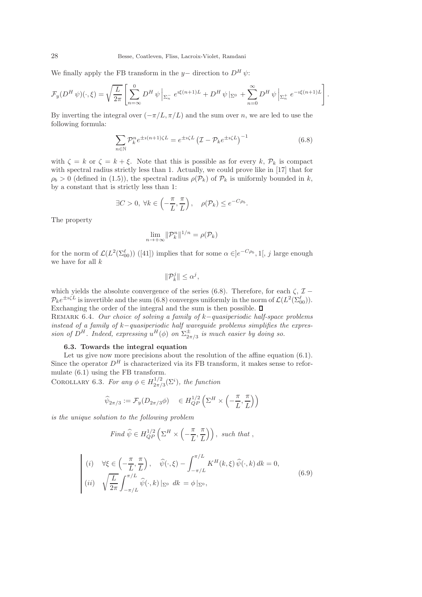We finally apply the FB transform in the y– direction to  $D^H \psi$ :

$$
\mathcal{F}_y(D^H \psi)(\cdot, \xi) = \sqrt{\frac{L}{2\pi}} \left[ \sum_{n=-\infty}^0 D^H \psi \, \middle| \, \Sigma_n^{-} \, e^{i\xi(n+1)L} + D^H \psi \, \middle| \, \Sigma_0^0 \, + \sum_{n=0}^{\infty} D^H \psi \, \middle| \, \Sigma_n^{+} \, e^{-i\xi(n+1)L} \right].
$$

By inverting the integral over  $(-\pi/L, \pi/L)$  and the sum over n, we are led to use the following formula:

$$
\sum_{n \in \mathbb{N}} \mathcal{P}_k^n e^{\pm i(n+1)\zeta L} = e^{\pm i\zeta L} \left(\mathcal{I} - \mathcal{P}_k e^{\pm i\zeta L}\right)^{-1}
$$
(6.8)

with  $\zeta = k$  or  $\zeta = k + \xi$ . Note that this is possible as for every k,  $\mathcal{P}_k$  is compact with spectral radius strictly less than 1. Actually, we could prove like in [17] that for  $\rho_b > 0$  (defined in (1.5)), the spectral radius  $\rho(\mathcal{P}_k)$  of  $\mathcal{P}_k$  is uniformly bounded in k, by a constant that is strictly less than 1:

$$
\exists C > 0, \ \forall k \in \left( -\frac{\pi}{L}, \frac{\pi}{L} \right), \quad \rho(\mathcal{P}_k) \le e^{-C\rho_b}.
$$

The property

$$
\lim_{n \to +\infty} \|\mathcal{P}_k^n\|^{1/n} = \rho(\mathcal{P}_k)
$$

for the norm of  $\mathcal{L}(L^2(\Sigma_{00}^{\ell}))$  ([41]) implies that for some  $\alpha \in ]e^{-C\rho_b}, 1[, j]$  large enough we have for all  $k$ 

$$
\|\mathcal{P}_k^j\| \le \alpha^j,
$$

which yields the absolute convergence of the series (6.8). Therefore, for each  $\zeta$ ,  $\mathcal{I}$  −  $\mathcal{P}_k e^{\pm i \zeta L}$  is invertible and the sum (6.8) converges uniformly in the norm of  $\mathcal{L}(L^2(\Sigma_{00}^\ell))$ . Exchanging the order of the integral and the sum is then possible.  $\Box$ 

Remark 6.4. *Our choice of solving a family of* k−*quasiperiodic half-space problems instead of a family of* k−*quasiperiodic half waveguide problems simplifies the expression of*  $D^H$ . Indeed, expressing  $u^H(\phi)$  on  $\Sigma_{2a}^{\pm}$  $\frac{\pm}{2\pi/3}$  is much easier by doing so.

# 6.3. Towards the integral equation

Let us give now more precisions about the resolution of the affine equation  $(6.1)$ . Since the operator  $D^H$  is characterized via its FB transform, it makes sense to reformulate (6.1) using the FB transform.

COROLLARY 6.3. *For any*  $\phi \in H_{2\pi/2}^{1/2}$  $\frac{1}{2\pi/3}(\Sigma^i)$ , the function

$$
\widehat{\psi}_{2\pi/3} := \mathcal{F}_y(D_{2\pi/3}\phi) \quad \in H_{QP}^{1/2}\left(\Sigma^H \times \left(-\frac{\pi}{L}, \frac{\pi}{L}\right)\right)
$$

*is the unique solution to the following problem*

Find 
$$
\widehat{\psi} \in H_{QP}^{1/2} \left( \Sigma^H \times \left( -\frac{\pi}{L}, \frac{\pi}{L} \right) \right)
$$
, such that,

$$
(i) \quad \forall \xi \in \left( -\frac{\pi}{L}, \frac{\pi}{L} \right), \quad \widehat{\psi}(\cdot, \xi) - \int_{-\pi/L}^{\pi/L} K^H(k, \xi) \widehat{\psi}(\cdot, k) \, dk = 0,
$$
\n
$$
(ii) \quad \sqrt{\frac{L}{2\pi}} \int_{-\pi/L}^{\pi/L} \widehat{\psi}(\cdot, k) \, |_{\Sigma^0} \, dk = \phi \, |_{\Sigma^0}, \tag{6.9}
$$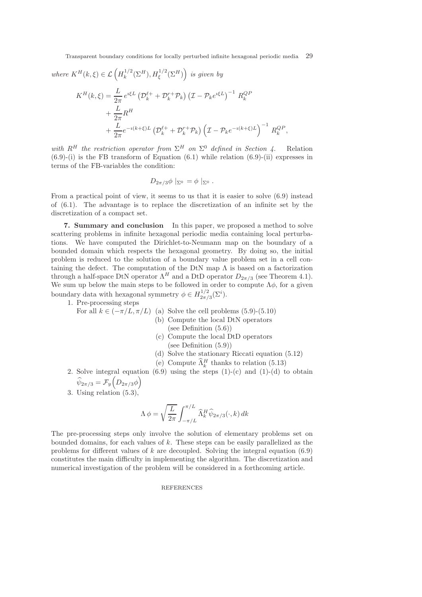*where*  $K^H(k,\xi) \in \mathcal{L}\left(H_k^{1/2}\right)$  $\left( \sum_{k}^{1/2}(\Sigma^{H}),H_{\xi}^{1/2}(\Sigma^{H})\right)$  is given by

$$
K^{H}(k,\xi) = \frac{L}{2\pi} e^{i\xi L} \left( \mathcal{D}_{k}^{\ell+} + \mathcal{D}_{k}^{r+} \mathcal{P}_{k} \right) \left( \mathcal{I} - \mathcal{P}_{k} e^{i\xi L} \right)^{-1} R_{k}^{QP} + \frac{L}{2\pi} R^{H} + \frac{L}{2\pi} e^{-i(k+\xi)L} \left( \mathcal{D}_{k}^{\ell+} + \mathcal{D}_{k}^{r+} \mathcal{P}_{k} \right) \left( \mathcal{I} - \mathcal{P}_{k} e^{-i(k+\xi)L} \right)^{-1} R_{k}^{QP},
$$

*with*  $R^H$  *the restriction operator from*  $\Sigma^H$  *on*  $\Sigma^0$  *defined in Section 4.* Relation  $(6.9)-(i)$  is the FB transform of Equation  $(6.1)$  while relation  $(6.9)-(ii)$  expresses in terms of the FB-variables the condition:

$$
D_{2\pi/3}\phi\mid_{\Sigma^0}=\phi\mid_{\Sigma^0}.
$$

From a practical point of view, it seems to us that it is easier to solve (6.9) instead of (6.1). The advantage is to replace the discretization of an infinite set by the discretization of a compact set.

7. Summary and conclusion In this paper, we proposed a method to solve scattering problems in infinite hexagonal periodic media containing local perturbations. We have computed the Dirichlet-to-Neumann map on the boundary of a bounded domain which respects the hexagonal geometry. By doing so, the initial problem is reduced to the solution of a boundary value problem set in a cell containing the defect. The computation of the DtN map  $\Lambda$  is based on a factorization through a half-space DtN operator  $\Lambda^H$  and a DtD operator  $D_{2\pi/3}$  (see Theorem 4.1). We sum up below the main steps to be followed in order to compute  $\Lambda \phi$ , for a given boundary data with hexagonal symmetry  $\phi \in H_{2\pi/2}^{1/2}$  $\frac{1}{2\pi/3}(\Sigma^i).$ 

1. Pre-processing steps

For all 
$$
k \in (-\pi/L, \pi/L)
$$
 (a) Solve the cell problems (5.9)-(5.10)

- (b) Compute the local DtN operators (see Definition (5.6))
- (c) Compute the local DtD operators (see Definition (5.9))
- (d) Solve the stationary Riccati equation (5.12)
- (e) Compute  $\widehat{\Lambda}_k^H$  thanks to relation (5.13)
- 2. Solve integral equation  $(6.9)$  using the steps  $(1)-(c)$  and  $(1)-(d)$  to obtain  $\widehat{\psi}_{2\pi/3} = \mathcal{F}_y\left(D_{2\pi/3}\phi\right)$
- 3. Using relation (5.3),

$$
\Lambda \phi = \sqrt{\frac{L}{2\pi}} \int_{-\pi/L}^{\pi/L} \widehat{\Lambda}_k^H \widehat{\psi}_{2\pi/3}(\cdot, k) dk
$$

The pre-processing steps only involve the solution of elementary problems set on bounded domains, for each values of k. These steps can be easily parallelized as the problems for different values of k are decoupled. Solving the integral equation  $(6.9)$ constitutes the main difficulty in implementing the algorithm. The discretization and numerical investigation of the problem will be considered in a forthcoming article.

## REFERENCES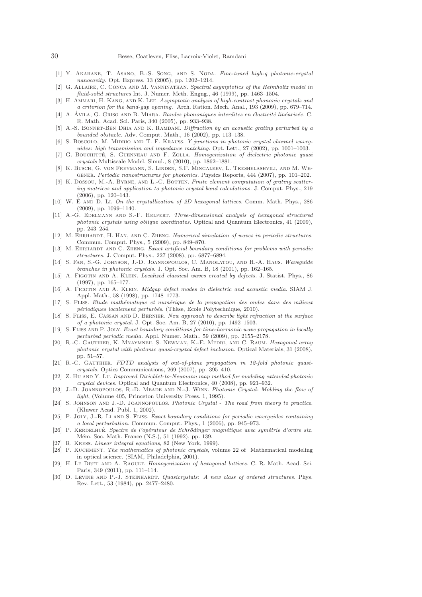- [1] Y. Akahane, T. Asano, B.-S. Song, and S. Noda. *Fine-tuned high-q photonic-crystal nanocavity.* Opt. Express, 13 (2005), pp. 1202–1214.
- [2] G. Allaire, C. Conca and M. Vanninathan. *Spectral asymptotics of the Helmholtz model in fluid-solid structures* Int. J. Numer. Meth. Engng., 46 (1999), pp. 1463–1504.
- [3] H. Ammari, H. Kang, and K. Lee. *Asymptotic analysis of high-contrast phononic crystals and a criterion for the band-gap opening.* Arch. Ration. Mech. Anal., 193 (2009), pp. 679–714.
- [4] A. Avila, G. Griso and B. Miara. ´ *Bandes phononiques interdites en ´elasticit´e lin´earis´ee.* C. R. Math. Acad. Sci. Paris, 340 (2005), pp. 933–938.
- [5] A.-S. Bonnet-Ben Dhia and K. Ramdani. *Diffraction by an acoustic grating perturbed by a bounded obstacle.* Adv. Comput. Math., 16 (2002), pp. 113–138.
- [6] S. Boscolo, M. MIDRIO AND T. F. KRAUSS. *Y junctions in photonic crystal channel waveguides: high transmission and impedance matching.* Opt. Lett., 27 (2002), pp. 1001–1003.
- [7] G. Bouchitt´e, S. Guenneau and F. Zolla. *Homogenization of dielectric photonic quasi crystals* Multiscale Model. Simul., 8 (2010), pp. 1862–1881.
- [8] K. Busch, G. von Freymann, S. Linden, S.F. Mingaleev, L. Tkeshelashvili, and M. Wegener. *Periodic nanostructures for photonics.* Physics Reports, 444 (2007), pp. 101–202.
- [9] K. Dossou, M.-A. Byrne, and L.-C. Botten. *Finite element computation of grating scattering matrices and application to photonic crystal band calculations.* J. Comput. Phys., 219 (2006), pp. 120–143.
- [10] W. E and D. Li. *On the crystallization of 2D hexagonal lattices.* Comm. Math. Phys., 286 (2009), pp. 1099–1140.
- [11] A.-G. Edelmann and S.-F. Helfert. *Three-dimensional analysis of hexagonal structured photonic crystals using oblique coordinates.* Optical and Quantum Electronics, 41 (2009), pp. 243–254.
- [12] M. Ehrhardt, H. Han, and C. Zheng. *Numerical simulation of waves in periodic structures.* Commun. Comput. Phys., 5 (2009), pp. 849–870.
- [13] M. Ehrhardt and C. Zheng. *Exact artificial boundary conditions for problems with periodic structures.* J. Comput. Phys., 227 (2008), pp. 6877–6894.
- [14] S. Fan, S.-G. Johnson, J.-D. Joannopoulos, C. Manolatou, and H.-A. Haus. *Waveguide branches in photonic crystals.* J. Opt. Soc. Am. B, 18 (2001), pp. 162–165.
- [15] A. Figotin and A. Klein. *Localized classical waves created by defects.* J. Statist. Phys., 86 (1997), pp. 165–177.
- [16] A. FIGOTIN AND A. KLEIN. *Midgap defect modes in dielectric and acoustic media*. SIAM J. Appl. Math., 58 (1998), pp. 1748–1773.
- [17] S. Fliss. *Etude math´ematique et num´erique de la propagation des ondes dans des milieux périodiques localement perturbés.* (Thèse, Ecole Polytechnique, 2010).
- [18] S. Fliss, E. Cassan and D. Bernier. *New approach to describe light refraction at the surface of a photonic crystal.* J. Opt. Soc. Am. B, 27 (2010), pp. 1492–1503.
- [19] S. Fliss and P. Joly. *Exact boundary conditions for time-harmonic wave propagation in locally perturbed periodic media.* Appl. Numer. Math., 59 (2009), pp. 2155–2178.
- [20] R.-C. Gauthier, K. Mnaymneh, S. Newman, K.-E. Medri, and C. Raum. *Hexagonal array photonic crystal with photonic quasi-crystal defect inclusion.* Optical Materials, 31 (2008), pp. 51–57.
- [21] R.-C. GAUTHIER. *FDTD analysis of out-of-plane propagation in 12-fold photonic quasicrystals.* Optics Communications, 269 (2007), pp. 395–410.
- [22] Z. Hu and Y. Lu. *Improved Dirichlet-to-Neumann map method for modeling extended photonic crystal devices.* Optical and Quantum Electronics, 40 (2008), pp. 921–932.
- [23] J.-D. Joannopoulos, R.-D. Meade and N.-J. Winn. *Photonic Crystal- Molding the flow of light*, (Volume 405, Princeton University Press. 1, 1995).
- [24] S. Johnson and J.-D. Joannopoulos. *Photonic Crystal The road from theory to practice*. (Kluwer Acad. Publ. 1, 2002).
- [25] P. Joly, J.-R. Li and S. Fliss. *Exact boundary conditions for periodic waveguides containing a local perturbation.* Commun. Comput. Phys., 1 (2006), pp. 945–973.
- [26] P. KERDELHUÉ. *Spectre de l'opérateur de Schrödinger magnétique avec symétrie d'ordre six.* Mém. Soc. Math. France (N.S.), 51 (1992), pp. 139.
- [27] R. Kress. *Linear integral equations*, 82 (New York, 1999).
- [28] P. Kuchment. *The mathematics of photonic crystals*, volume 22 of Mathematical modeling in optical science. (SIAM, Philadelphia, 2001).
- [29] H. Le Dret and A. Raoult. *Homogenization of hexagonal lattices.* C. R. Math. Acad. Sci. Paris, 349 (2011), pp. 111–114.
- [30] D. LEVINE AND P.-J. STEINHARDT. *Quasicrystals: A new class of ordered structures*. Phys. Rev. Lett., 53 (1984), pp. 2477–2480.